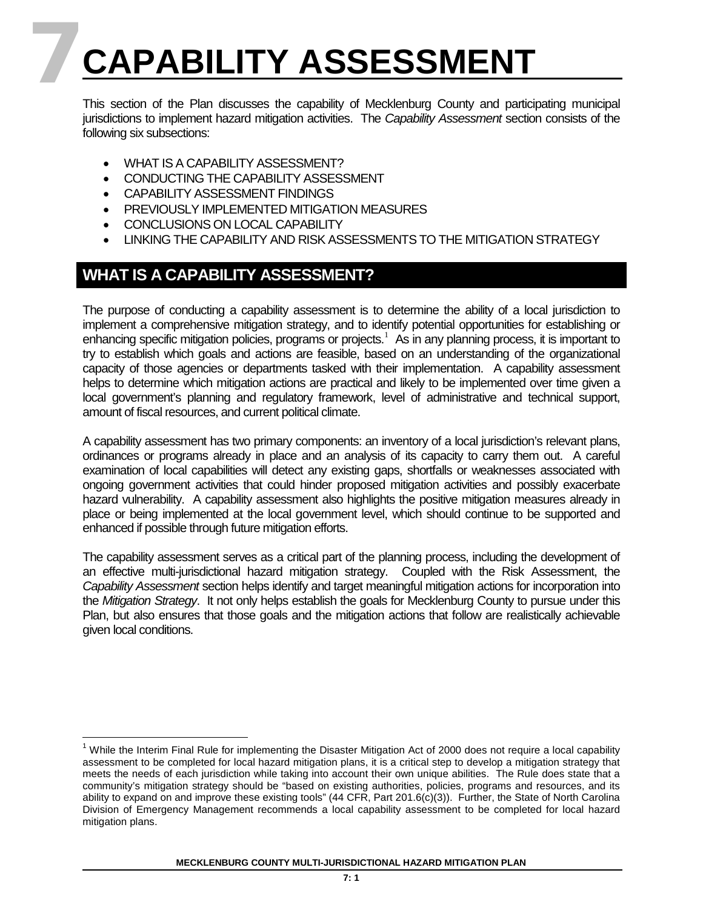# **7CAPABILITY ASSESSMENT**

This section of the Plan discusses the capability of Mecklenburg County and participating municipal jurisdictions to implement hazard mitigation activities. The *Capability Assessment* section consists of the following six subsections:

- WHAT IS A CAPABILITY ASSESSMENT?
- CONDUCTING THE CAPABILITY ASSESSMENT
- CAPABILITY ASSESSMENT FINDINGS
- PREVIOUSLY IMPLEMENTED MITIGATION MEASURES
- CONCLUSIONS ON LOCAL CAPABILITY
- LINKING THE CAPABILITY AND RISK ASSESSMENTS TO THE MITIGATION STRATEGY

# **WHAT IS A CAPABILITY ASSESSMENT?**

The purpose of conducting a capability assessment is to determine the ability of a local jurisdiction to implement a comprehensive mitigation strategy, and to identify potential opportunities for establishing or enhancing specific mitigation policies, programs or projects.<sup>[1](#page-0-0)</sup> As in any planning process, it is important to try to establish which goals and actions are feasible, based on an understanding of the organizational capacity of those agencies or departments tasked with their implementation. A capability assessment helps to determine which mitigation actions are practical and likely to be implemented over time given a local government's planning and regulatory framework, level of administrative and technical support, amount of fiscal resources, and current political climate.

A capability assessment has two primary components: an inventory of a local jurisdiction's relevant plans, ordinances or programs already in place and an analysis of its capacity to carry them out. A careful examination of local capabilities will detect any existing gaps, shortfalls or weaknesses associated with ongoing government activities that could hinder proposed mitigation activities and possibly exacerbate hazard vulnerability. A capability assessment also highlights the positive mitigation measures already in place or being implemented at the local government level, which should continue to be supported and enhanced if possible through future mitigation efforts.

The capability assessment serves as a critical part of the planning process, including the development of an effective multi-jurisdictional hazard mitigation strategy. Coupled with the Risk Assessment, the *Capability Assessment* section helps identify and target meaningful mitigation actions for incorporation into the *Mitigation Strategy*. It not only helps establish the goals for Mecklenburg County to pursue under this Plan, but also ensures that those goals and the mitigation actions that follow are realistically achievable given local conditions.

<span id="page-0-0"></span><sup>&</sup>lt;sup>1</sup> While the Interim Final Rule for implementing the Disaster Mitigation Act of 2000 does not require a local capability assessment to be completed for local hazard mitigation plans, it is a critical step to develop a mitigation strategy that meets the needs of each jurisdiction while taking into account their own unique abilities. The Rule does state that a community's mitigation strategy should be "based on existing authorities, policies, programs and resources, and its ability to expand on and improve these existing tools" (44 CFR, Part 201.6(c)(3)). Further, the State of North Carolina Division of Emergency Management recommends a local capability assessment to be completed for local hazard mitigation plans.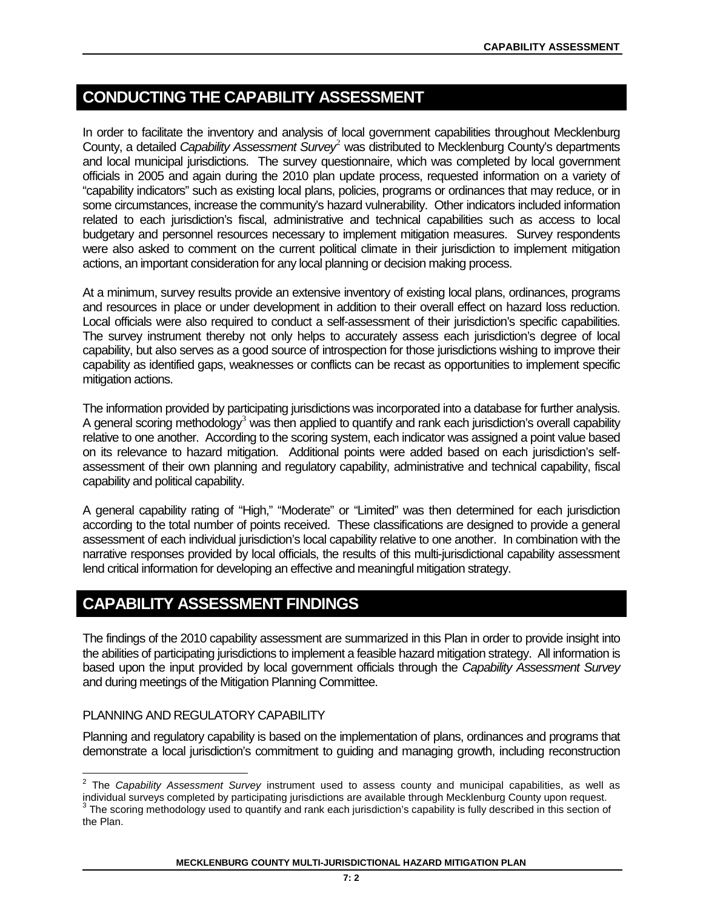# **CONDUCTING THE CAPABILITY ASSESSMENT**

In order to facilitate the inventory and analysis of local government capabilities throughout Mecklenburg County, a detailed *Capability Assessment Survey*[2](#page-1-0) was distributed to Mecklenburg County's departments and local municipal jurisdictions. The survey questionnaire, which was completed by local government officials in 2005 and again during the 2010 plan update process, requested information on a variety of "capability indicators" such as existing local plans, policies, programs or ordinances that may reduce, or in some circumstances, increase the community's hazard vulnerability. Other indicators included information related to each jurisdiction's fiscal, administrative and technical capabilities such as access to local budgetary and personnel resources necessary to implement mitigation measures. Survey respondents were also asked to comment on the current political climate in their jurisdiction to implement mitigation actions, an important consideration for any local planning or decision making process.

At a minimum, survey results provide an extensive inventory of existing local plans, ordinances, programs and resources in place or under development in addition to their overall effect on hazard loss reduction. Local officials were also required to conduct a self-assessment of their jurisdiction's specific capabilities. The survey instrument thereby not only helps to accurately assess each jurisdiction's degree of local capability, but also serves as a good source of introspection for those jurisdictions wishing to improve their capability as identified gaps, weaknesses or conflicts can be recast as opportunities to implement specific mitigation actions.

The information provided by participating jurisdictions was incorporated into a database for further analysis. A general scoring methodology<sup>[3](#page-1-1)</sup> was then applied to quantify and rank each jurisdiction's overall capability relative to one another. According to the scoring system, each indicator was assigned a point value based on its relevance to hazard mitigation. Additional points were added based on each jurisdiction's selfassessment of their own planning and regulatory capability, administrative and technical capability, fiscal capability and political capability.

A general capability rating of "High," "Moderate" or "Limited" was then determined for each jurisdiction according to the total number of points received. These classifications are designed to provide a general assessment of each individual jurisdiction's local capability relative to one another. In combination with the narrative responses provided by local officials, the results of this multi-jurisdictional capability assessment lend critical information for developing an effective and meaningful mitigation strategy.

# **CAPABILITY ASSESSMENT FINDINGS**

The findings of the 2010 capability assessment are summarized in this Plan in order to provide insight into the abilities of participating jurisdictions to implement a feasible hazard mitigation strategy. All information is based upon the input provided by local government officials through the *Capability Assessment Survey* and during meetings of the Mitigation Planning Committee.

# PLANNING AND REGULATORY CAPABILITY

Planning and regulatory capability is based on the implementation of plans, ordinances and programs that demonstrate a local jurisdiction's commitment to guiding and managing growth, including reconstruction

#### **MECKLENBURG COUNTY MULTI-JURISDICTIONAL HAZARD MITIGATION PLAN**

<span id="page-1-1"></span><span id="page-1-0"></span><sup>2</sup> The *Capability Assessment Survey* instrument used to assess county and municipal capabilities, as well as individual surveys completed by participating jurisdictions are available through Mecklenburg County upon request.  $3$  The scoring methodology used to quantify and rank each jurisdiction's capability is fully described in this section of the Plan.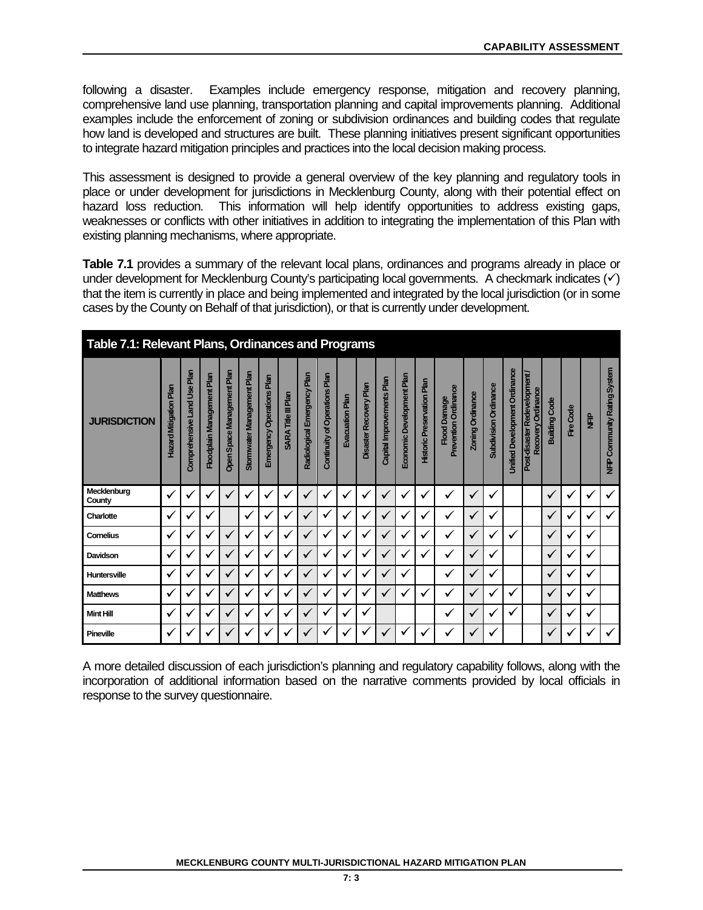following a disaster. Examples include emergency response, mitigation and recovery planning, comprehensive land use planning, transportation planning and capital improvements planning. Additional examples include the enforcement of zoning or subdivision ordinances and building codes that regulate how land is developed and structures are built. These planning initiatives present significant opportunities to integrate hazard mitigation principles and practices into the local decision making process.

This assessment is designed to provide a general overview of the key planning and regulatory tools in place or under development for jurisdictions in Mecklenburg County, along with their potential effect on hazard loss reduction. This information will help identify opportunities to address existing gaps, weaknesses or conflicts with other initiatives in addition to integrating the implementation of this Plan with existing planning mechanisms, where appropriate.

**Table 7.1** provides a summary of the relevant local plans, ordinances and programs already in place or under development for Mecklenburg County's participating local governments. A checkmark indicates  $(\checkmark)$ that the item is currently in place and being implemented and integrated by the local jurisdiction (or in some cases by the County on Behalf of that jurisdiction), or that is currently under development.

| Table 7.1: Relevant Plans, Ordinances and Programs |                               |                             |                            |                            |                            |                           |                     |                             |                               |                 |                        |                           |                           |                                   |                                             |                  |                              |                                      |                                                    |                      |           |              |                              |
|----------------------------------------------------|-------------------------------|-----------------------------|----------------------------|----------------------------|----------------------------|---------------------------|---------------------|-----------------------------|-------------------------------|-----------------|------------------------|---------------------------|---------------------------|-----------------------------------|---------------------------------------------|------------------|------------------------------|--------------------------------------|----------------------------------------------------|----------------------|-----------|--------------|------------------------------|
| <b>JURISDICTION</b>                                | <b>Hazard Mitigation Plan</b> | Comprehensive Land Use Plan | Floodplain Management Plan | Open Space Management Plan | Stormwater Management Plan | Emergency Operations Plan | SARA Title III Plan | Radiological Emergency Plan | Continuity of Operations Plan | Evacuation Plan | Disaster Recovery Plan | Capital Improvements Plan | Economic Development Plan | <b>Historic Preservation Plan</b> | Prevention Ordinance<br><b>Flood Damage</b> | Zoning Ordinance | <b>Subdivision Ordinance</b> | <b>Unified Development Ordinance</b> | Post-disaster Redevelopment.<br>Recovery Ordinance | <b>Building Code</b> | Fire Code | È            | NFIP Community Rating System |
| Mecklenburg<br>County                              | $\checkmark$                  |                             | ✓                          | $\checkmark$               | $\checkmark$               | $\checkmark$              | v                   | $\checkmark$                |                               | ✓               | ✓                      | $\checkmark$              | $\checkmark$              | v                                 | √                                           | $\checkmark$     | ✔                            |                                      |                                                    | $\checkmark$         | v         | v            | ✓                            |
| Charlotte                                          | $\checkmark$                  | ✔                           | ✓                          |                            | $\checkmark$               | ✓                         | $\checkmark$        | ✓                           | √                             | ✓               | ✓                      | $\checkmark$              | v                         | v                                 | ✓                                           | $\checkmark$     | √                            |                                      |                                                    | $\checkmark$         | v         | $\checkmark$ | ✓                            |
| Cornelius                                          | ✓                             |                             | ✓                          | ✓                          |                            | √                         | v                   | $\checkmark$                | v                             | √               | √                      | $\checkmark$              | √                         | ✔                                 | ✓                                           | ✓                |                              | ✓                                    |                                                    | $\checkmark$         | √         | v            |                              |
| Davidson                                           | ✓                             |                             | ✓                          | ✓                          | $\checkmark$               | √                         | v                   | ✓                           |                               | $\checkmark$    | √                      | ✓                         | v                         | v                                 | v                                           | $\checkmark$     | v                            |                                      |                                                    | $\checkmark$         | v         | v            |                              |
| <b>Huntersville</b>                                | $\checkmark$                  | ✔                           | ✓                          | $\checkmark$               | $\checkmark$               | $\checkmark$              | ✓                   | $\checkmark$                | √                             | ✓               | ✓                      | $\checkmark$              | $\checkmark$              |                                   | ✓                                           | ✓                | √                            |                                      |                                                    | $\checkmark$         | v         | $\checkmark$ |                              |
| <b>Matthews</b>                                    | ✓                             |                             | ✓                          | ✓                          |                            | √                         | ✔                   | $\checkmark$                |                               | √               | √                      | $\checkmark$              | ✔                         | ✔                                 | ✓                                           | ✓                |                              | ✓                                    |                                                    | $\checkmark$         | v         | ✔            |                              |
| <b>Mint Hill</b>                                   | $\checkmark$                  | ✔                           | ✓                          | ✓                          | $\checkmark$               | √                         | v                   | ✓                           | ✔                             | ✓               | √                      |                           |                           |                                   | √                                           | $\checkmark$     | ✔                            | ✓                                    |                                                    | $\checkmark$         | v         | v            |                              |
| Pineville                                          | ✓                             | v                           | ✓                          | $\checkmark$               | v                          | v                         | ✔                   | ✓                           |                               | √               | √                      | $\checkmark$              | v                         | v                                 | ✔                                           | ✓                | ✔                            |                                      |                                                    | $\checkmark$         | v         | v            | ✓                            |

A more detailed discussion of each jurisdiction's planning and regulatory capability follows, along with the incorporation of additional information based on the narrative comments provided by local officials in response to the survey questionnaire.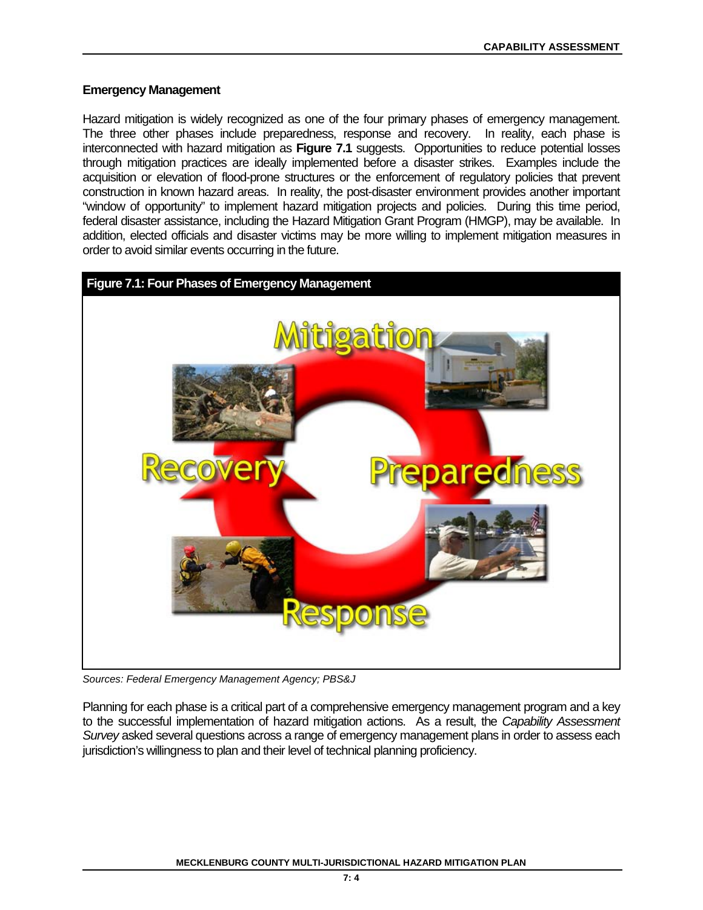## **Emergency Management**

Hazard mitigation is widely recognized as one of the four primary phases of emergency management. The three other phases include preparedness, response and recovery. In reality, each phase is interconnected with hazard mitigation as **Figure 7.1** suggests. Opportunities to reduce potential losses through mitigation practices are ideally implemented before a disaster strikes. Examples include the acquisition or elevation of flood-prone structures or the enforcement of regulatory policies that prevent construction in known hazard areas. In reality, the post-disaster environment provides another important "window of opportunity" to implement hazard mitigation projects and policies. During this time period, federal disaster assistance, including the Hazard Mitigation Grant Program (HMGP), may be available. In addition, elected officials and disaster victims may be more willing to implement mitigation measures in order to avoid similar events occurring in the future.



*Sources: Federal Emergency Management Agency; PBS&J*

Planning for each phase is a critical part of a comprehensive emergency management program and a key to the successful implementation of hazard mitigation actions. As a result, the *Capability Assessment Survey* asked several questions across a range of emergency management plans in order to assess each jurisdiction's willingness to plan and their level of technical planning proficiency.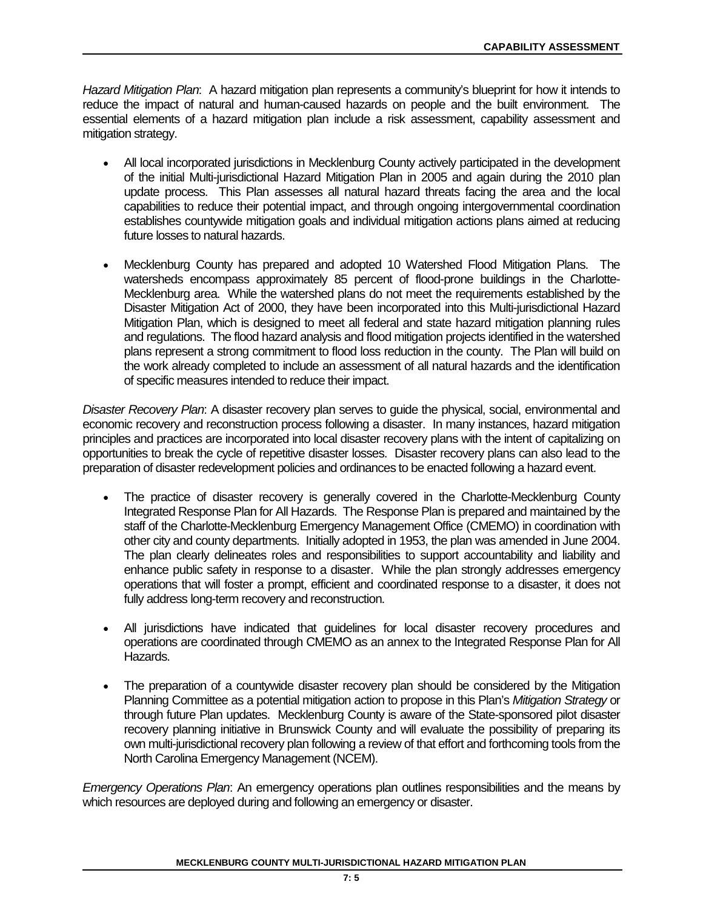*Hazard Mitigation Plan*: A hazard mitigation plan represents a community's blueprint for how it intends to reduce the impact of natural and human-caused hazards on people and the built environment. The essential elements of a hazard mitigation plan include a risk assessment, capability assessment and mitigation strategy.

- All local incorporated jurisdictions in Mecklenburg County actively participated in the development of the initial Multi-jurisdictional Hazard Mitigation Plan in 2005 and again during the 2010 plan update process. This Plan assesses all natural hazard threats facing the area and the local capabilities to reduce their potential impact, and through ongoing intergovernmental coordination establishes countywide mitigation goals and individual mitigation actions plans aimed at reducing future losses to natural hazards.
- Mecklenburg County has prepared and adopted 10 Watershed Flood Mitigation Plans. The watersheds encompass approximately 85 percent of flood-prone buildings in the Charlotte-Mecklenburg area. While the watershed plans do not meet the requirements established by the Disaster Mitigation Act of 2000, they have been incorporated into this Multi-jurisdictional Hazard Mitigation Plan, which is designed to meet all federal and state hazard mitigation planning rules and regulations. The flood hazard analysis and flood mitigation projects identified in the watershed plans represent a strong commitment to flood loss reduction in the county. The Plan will build on the work already completed to include an assessment of all natural hazards and the identification of specific measures intended to reduce their impact.

*Disaster Recovery Plan*: A disaster recovery plan serves to guide the physical, social, environmental and economic recovery and reconstruction process following a disaster. In many instances, hazard mitigation principles and practices are incorporated into local disaster recovery plans with the intent of capitalizing on opportunities to break the cycle of repetitive disaster losses. Disaster recovery plans can also lead to the preparation of disaster redevelopment policies and ordinances to be enacted following a hazard event.

- The practice of disaster recovery is generally covered in the Charlotte-Mecklenburg County Integrated Response Plan for All Hazards. The Response Plan is prepared and maintained by the staff of the Charlotte-Mecklenburg Emergency Management Office (CMEMO) in coordination with other city and county departments. Initially adopted in 1953, the plan was amended in June 2004. The plan clearly delineates roles and responsibilities to support accountability and liability and enhance public safety in response to a disaster. While the plan strongly addresses emergency operations that will foster a prompt, efficient and coordinated response to a disaster, it does not fully address long-term recovery and reconstruction.
- All jurisdictions have indicated that guidelines for local disaster recovery procedures and operations are coordinated through CMEMO as an annex to the Integrated Response Plan for All Hazards.
- The preparation of a countywide disaster recovery plan should be considered by the Mitigation Planning Committee as a potential mitigation action to propose in this Plan's *Mitigation Strategy* or through future Plan updates. Mecklenburg County is aware of the State-sponsored pilot disaster recovery planning initiative in Brunswick County and will evaluate the possibility of preparing its own multi-jurisdictional recovery plan following a review of that effort and forthcoming tools from the North Carolina Emergency Management (NCEM).

*Emergency Operations Plan*: An emergency operations plan outlines responsibilities and the means by which resources are deployed during and following an emergency or disaster.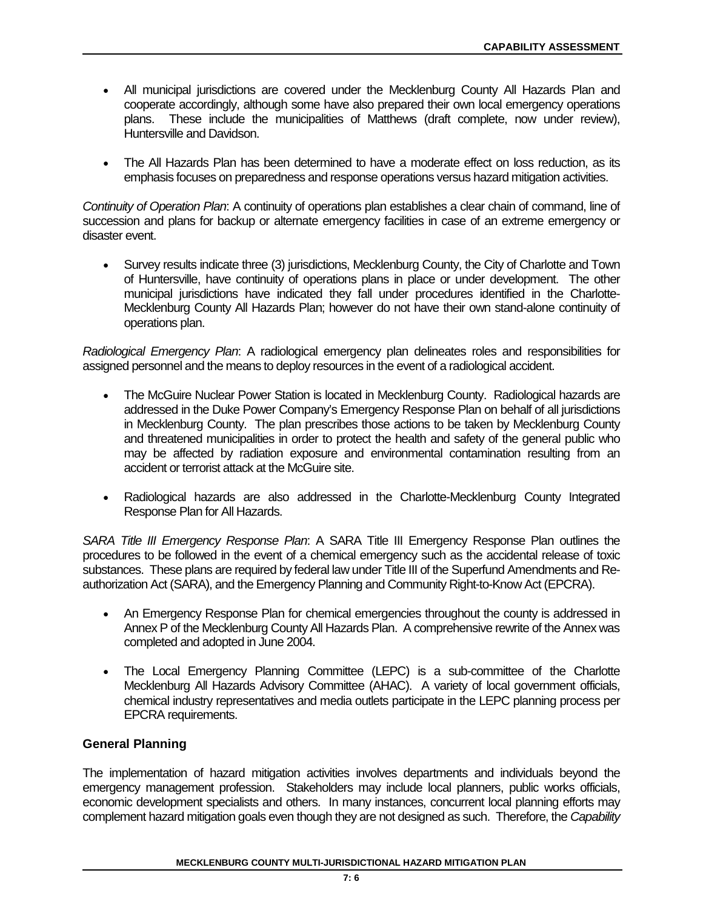- All municipal jurisdictions are covered under the Mecklenburg County All Hazards Plan and cooperate accordingly, although some have also prepared their own local emergency operations plans. These include the municipalities of Matthews (draft complete, now under review), Huntersville and Davidson.
- The All Hazards Plan has been determined to have a moderate effect on loss reduction, as its emphasis focuses on preparedness and response operations versus hazard mitigation activities.

*Continuity of Operation Plan*: A continuity of operations plan establishes a clear chain of command, line of succession and plans for backup or alternate emergency facilities in case of an extreme emergency or disaster event.

• Survey results indicate three (3) jurisdictions, Mecklenburg County, the City of Charlotte and Town of Huntersville, have continuity of operations plans in place or under development. The other municipal jurisdictions have indicated they fall under procedures identified in the Charlotte-Mecklenburg County All Hazards Plan; however do not have their own stand-alone continuity of operations plan.

*Radiological Emergency Plan*: A radiological emergency plan delineates roles and responsibilities for assigned personnel and the means to deploy resources in the event of a radiological accident.

- The McGuire Nuclear Power Station is located in Mecklenburg County. Radiological hazards are addressed in the Duke Power Company's Emergency Response Plan on behalf of all jurisdictions in Mecklenburg County. The plan prescribes those actions to be taken by Mecklenburg County and threatened municipalities in order to protect the health and safety of the general public who may be affected by radiation exposure and environmental contamination resulting from an accident or terrorist attack at the McGuire site.
- Radiological hazards are also addressed in the Charlotte-Mecklenburg County Integrated Response Plan for All Hazards.

*SARA Title III Emergency Response Plan*: A SARA Title III Emergency Response Plan outlines the procedures to be followed in the event of a chemical emergency such as the accidental release of toxic substances. These plans are required by federal law under Title III of the Superfund Amendments and Reauthorization Act (SARA), and the Emergency Planning and Community Right-to-Know Act (EPCRA).

- An Emergency Response Plan for chemical emergencies throughout the county is addressed in Annex P of the Mecklenburg County All Hazards Plan. A comprehensive rewrite of the Annex was completed and adopted in June 2004.
- The Local Emergency Planning Committee (LEPC) is a sub-committee of the Charlotte Mecklenburg All Hazards Advisory Committee (AHAC). A variety of local government officials, chemical industry representatives and media outlets participate in the LEPC planning process per EPCRA requirements.

# **General Planning**

The implementation of hazard mitigation activities involves departments and individuals beyond the emergency management profession. Stakeholders may include local planners, public works officials, economic development specialists and others. In many instances, concurrent local planning efforts may complement hazard mitigation goals even though they are not designed as such. Therefore, the *Capability* 

#### **MECKLENBURG COUNTY MULTI-JURISDICTIONAL HAZARD MITIGATION PLAN**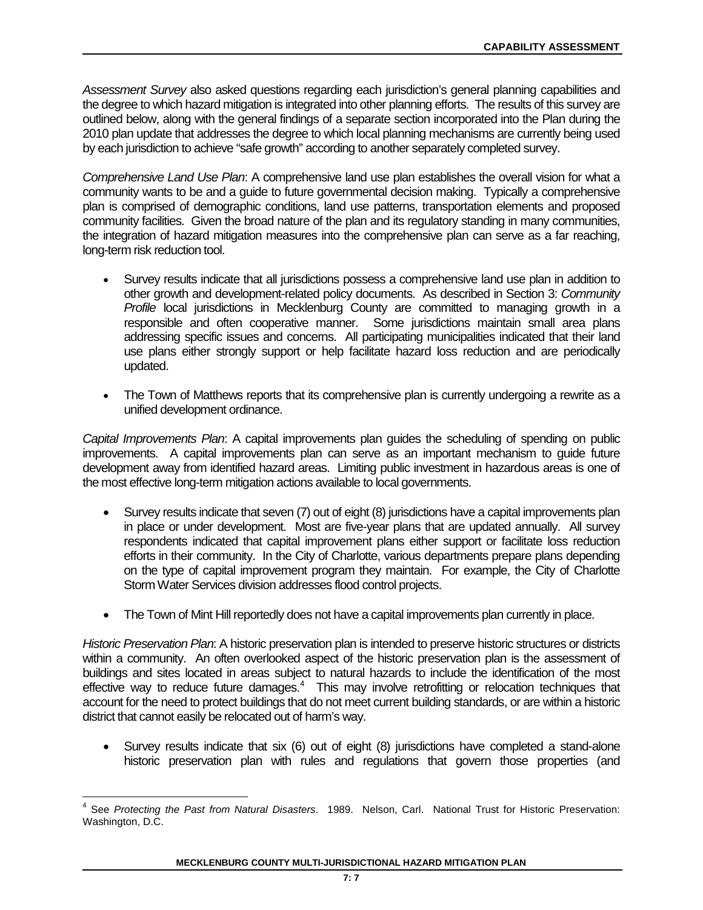*Assessment Survey* also asked questions regarding each jurisdiction's general planning capabilities and the degree to which hazard mitigation is integrated into other planning efforts. The results of this survey are outlined below, along with the general findings of a separate section incorporated into the Plan during the 2010 plan update that addresses the degree to which local planning mechanisms are currently being used by each jurisdiction to achieve "safe growth" according to another separately completed survey.

*Comprehensive Land Use Plan*: A comprehensive land use plan establishes the overall vision for what a community wants to be and a guide to future governmental decision making. Typically a comprehensive plan is comprised of demographic conditions, land use patterns, transportation elements and proposed community facilities. Given the broad nature of the plan and its regulatory standing in many communities, the integration of hazard mitigation measures into the comprehensive plan can serve as a far reaching, long-term risk reduction tool.

- Survey results indicate that all jurisdictions possess a comprehensive land use plan in addition to other growth and development-related policy documents. As described in Section 3: *Community Profile* local jurisdictions in Mecklenburg County are committed to managing growth in a responsible and often cooperative manner. Some jurisdictions maintain small area plans addressing specific issues and concerns. All participating municipalities indicated that their land use plans either strongly support or help facilitate hazard loss reduction and are periodically updated.
- The Town of Matthews reports that its comprehensive plan is currently undergoing a rewrite as a unified development ordinance.

*Capital Improvements Plan*: A capital improvements plan guides the scheduling of spending on public improvements. A capital improvements plan can serve as an important mechanism to guide future development away from identified hazard areas. Limiting public investment in hazardous areas is one of the most effective long-term mitigation actions available to local governments.

- Survey results indicate that seven (7) out of eight (8) jurisdictions have a capital improvements plan in place or under development. Most are five-year plans that are updated annually. All survey respondents indicated that capital improvement plans either support or facilitate loss reduction efforts in their community. In the City of Charlotte, various departments prepare plans depending on the type of capital improvement program they maintain. For example, the City of Charlotte Storm Water Services division addresses flood control projects.
- The Town of Mint Hill reportedly does not have a capital improvements plan currently in place.

*Historic Preservation Plan*: A historic preservation plan is intended to preserve historic structures or districts within a community. An often overlooked aspect of the historic preservation plan is the assessment of buildings and sites located in areas subject to natural hazards to include the identification of the most effective way to reduce future damages.<sup>4</sup> This may involve retrofitting or relocation techniques that account for the need to protect buildings that do not meet current building standards, or are within a historic district that cannot easily be relocated out of harm's way.

• Survey results indicate that six (6) out of eight (8) jurisdictions have completed a stand-alone historic preservation plan with rules and regulations that govern those properties (and

<span id="page-6-0"></span><sup>4</sup> See *Protecting the Past from Natural Disasters*. 1989. Nelson, Carl. National Trust for Historic Preservation: Washington, D.C.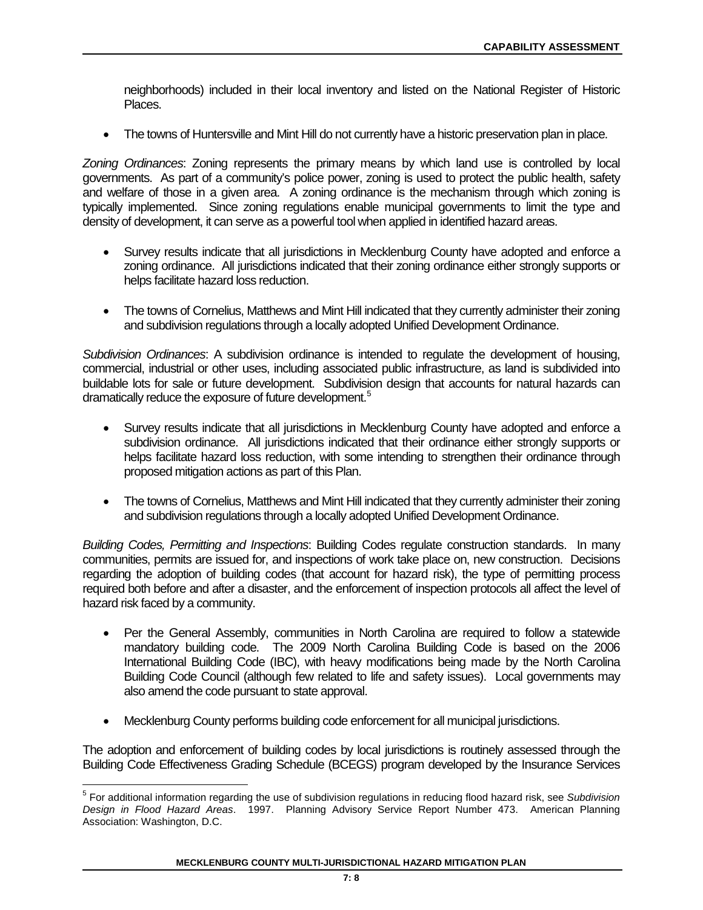neighborhoods) included in their local inventory and listed on the National Register of Historic Places.

• The towns of Huntersville and Mint Hill do not currently have a historic preservation plan in place.

*Zoning Ordinances*: Zoning represents the primary means by which land use is controlled by local governments. As part of a community's police power, zoning is used to protect the public health, safety and welfare of those in a given area. A zoning ordinance is the mechanism through which zoning is typically implemented. Since zoning regulations enable municipal governments to limit the type and density of development, it can serve as a powerful tool when applied in identified hazard areas.

- Survey results indicate that all jurisdictions in Mecklenburg County have adopted and enforce a zoning ordinance. All jurisdictions indicated that their zoning ordinance either strongly supports or helps facilitate hazard loss reduction.
- The towns of Cornelius, Matthews and Mint Hill indicated that they currently administer their zoning and subdivision regulations through a locally adopted Unified Development Ordinance.

*Subdivision Ordinances*: A subdivision ordinance is intended to regulate the development of housing, commercial, industrial or other uses, including associated public infrastructure, as land is subdivided into buildable lots for sale or future development. Subdivision design that accounts for natural hazards can dramatically reduce the exposure of future development.<sup>[5](#page-7-0)</sup>

- Survey results indicate that all jurisdictions in Mecklenburg County have adopted and enforce a subdivision ordinance. All jurisdictions indicated that their ordinance either strongly supports or helps facilitate hazard loss reduction, with some intending to strengthen their ordinance through proposed mitigation actions as part of this Plan.
- The towns of Cornelius, Matthews and Mint Hill indicated that they currently administer their zoning and subdivision regulations through a locally adopted Unified Development Ordinance.

*Building Codes, Permitting and Inspections*: Building Codes regulate construction standards. In many communities, permits are issued for, and inspections of work take place on, new construction. Decisions regarding the adoption of building codes (that account for hazard risk), the type of permitting process required both before and after a disaster, and the enforcement of inspection protocols all affect the level of hazard risk faced by a community.

- Per the General Assembly, communities in North Carolina are required to follow a statewide mandatory building code. The 2009 North Carolina Building Code is based on the 2006 International Building Code (IBC), with heavy modifications being made by the North Carolina Building Code Council (although few related to life and safety issues). Local governments may also amend the code pursuant to state approval.
- Mecklenburg County performs building code enforcement for all municipal jurisdictions.

The adoption and enforcement of building codes by local jurisdictions is routinely assessed through the Building Code Effectiveness Grading Schedule (BCEGS) program developed by the Insurance Services

<span id="page-7-0"></span><sup>5</sup> For additional information regarding the use of subdivision regulations in reducing flood hazard risk, see *Subdivision Design in Flood Hazard Areas*. 1997. Planning Advisory Service Report Number 473. American Planning Association: Washington, D.C.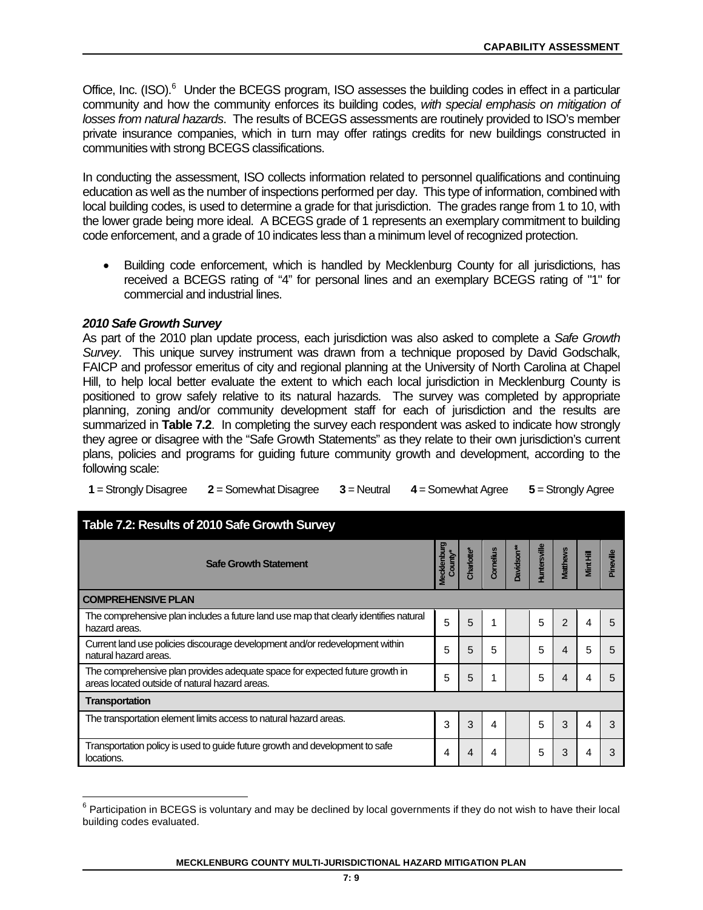Office, Inc. (ISO).<sup>[6](#page-8-0)</sup> Under the BCEGS program, ISO assesses the building codes in effect in a particular community and how the community enforces its building codes, *with special emphasis on mitigation of losses from natural hazards*. The results of BCEGS assessments are routinely provided to ISO's member private insurance companies, which in turn may offer ratings credits for new buildings constructed in communities with strong BCEGS classifications.

In conducting the assessment, ISO collects information related to personnel qualifications and continuing education as well as the number of inspections performed per day. This type of information, combined with local building codes, is used to determine a grade for that jurisdiction. The grades range from 1 to 10, with the lower grade being more ideal. A BCEGS grade of 1 represents an exemplary commitment to building code enforcement, and a grade of 10 indicates less than a minimum level of recognized protection.

• Building code enforcement, which is handled by Mecklenburg County for all jurisdictions, has received a BCEGS rating of "4" for personal lines and an exemplary BCEGS rating of "1" for commercial and industrial lines.

## *2010 Safe Growth Survey*

As part of the 2010 plan update process, each jurisdiction was also asked to complete a *Safe Growth Survey*. This unique survey instrument was drawn from a technique proposed by David Godschalk, FAICP and professor emeritus of city and regional planning at the University of North Carolina at Chapel Hill, to help local better evaluate the extent to which each local jurisdiction in Mecklenburg County is positioned to grow safely relative to its natural hazards. The survey was completed by appropriate planning, zoning and/or community development staff for each of jurisdiction and the results are summarized in **Table 7.2**. In completing the survey each respondent was asked to indicate how strongly they agree or disagree with the "Safe Growth Statements" as they relate to their own jurisdiction's current plans, policies and programs for guiding future community growth and development, according to the following scale:

|  | 1 = Strongly Disagree $2 =$ Somewhat Disagree $3 =$ Neutral $4 =$ Somewhat Agree $5 =$ Strongly Agree |  |  |  |
|--|-------------------------------------------------------------------------------------------------------|--|--|--|
|--|-------------------------------------------------------------------------------------------------------|--|--|--|

| Table 7.2: Results of 2010 Safe Growth Survey                                                                                  |                         |                        |           |                        |                     |                 |           |           |  |  |  |
|--------------------------------------------------------------------------------------------------------------------------------|-------------------------|------------------------|-----------|------------------------|---------------------|-----------------|-----------|-----------|--|--|--|
| <b>Safe Growth Statement</b>                                                                                                   | Vlecklenburg<br>County* | Charlotte <sup>*</sup> | Cornelius | Davidson <sup>**</sup> | <b>luntersville</b> | <b>Matthews</b> | Mint Hill | Pineville |  |  |  |
| <b>COMPREHENSIVE PLAN</b>                                                                                                      |                         |                        |           |                        |                     |                 |           |           |  |  |  |
| The comprehensive plan includes a future land use map that clearly identifies natural<br>hazard areas.                         | 5                       | 5                      |           |                        | 5                   | 2               | 4         | 5         |  |  |  |
| Current land use policies discourage development and/or redevelopment within<br>natural hazard areas.                          | 5                       | 5                      | 5         |                        | 5                   | 4               | 5         |           |  |  |  |
| The comprehensive plan provides adequate space for expected future growth in<br>areas located outside of natural hazard areas. | 5                       | 5                      |           |                        | 5                   | 4               | 4         |           |  |  |  |
| Transportation                                                                                                                 |                         |                        |           |                        |                     |                 |           |           |  |  |  |
| The transportation element limits access to natural hazard areas.                                                              | 3                       | 3                      | 4         |                        | 5                   | 3               |           |           |  |  |  |
| Transportation policy is used to guide future growth and development to safe<br>locations.                                     | 4                       | 4                      | 4         |                        | 5                   | 3               |           |           |  |  |  |

<span id="page-8-0"></span> $6$  Participation in BCEGS is voluntary and may be declined by local governments if they do not wish to have their local building codes evaluated.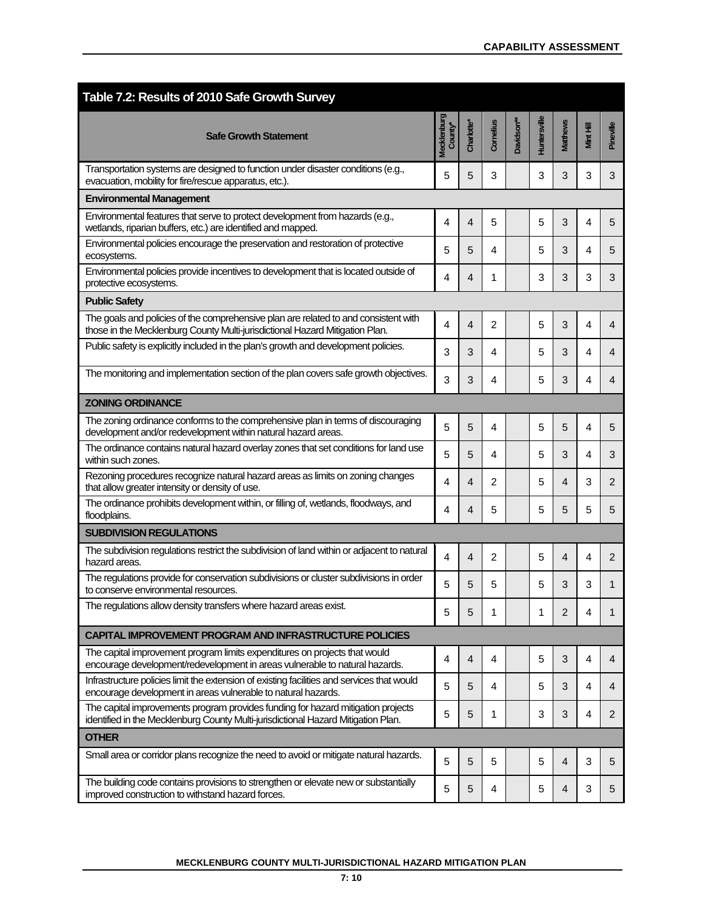| Table 7.2: Results of 2010 Safe Growth Survey                                                                                                                         |                               |                        |                |                        |              |                 |           |                |
|-----------------------------------------------------------------------------------------------------------------------------------------------------------------------|-------------------------------|------------------------|----------------|------------------------|--------------|-----------------|-----------|----------------|
| <b>Safe Growth Statement</b>                                                                                                                                          | <b>Mecklenburg</b><br>County* | Charlotte <sup>®</sup> | Cornelius      | Davidson <sup>**</sup> | Huntersville | <b>Matthews</b> | Mint Hill | Pineville      |
| Transportation systems are designed to function under disaster conditions (e.g.,<br>evacuation, mobility for fire/rescue apparatus, etc.).                            | 5                             | 5                      | 3              |                        | 3            | 3               | 3         | 3              |
| <b>Environmental Management</b>                                                                                                                                       |                               |                        |                |                        |              |                 |           |                |
| Environmental features that serve to protect development from hazards (e.g.,<br>wetlands, riparian buffers, etc.) are identified and mapped.                          | 4                             | 4                      | 5              |                        | 5            | 3               | 4         | 5              |
| Environmental policies encourage the preservation and restoration of protective<br>ecosystems.                                                                        | 5                             | 5                      | 4              |                        | 5            | 3               | 4         | 5              |
| Environmental policies provide incentives to development that is located outside of<br>protective ecosystems.                                                         | 4                             | 4                      | 1              |                        | 3            | 3               | 3         | 3              |
| <b>Public Safety</b>                                                                                                                                                  |                               |                        |                |                        |              |                 |           |                |
| The goals and policies of the comprehensive plan are related to and consistent with<br>those in the Mecklenburg County Multi-jurisdictional Hazard Mitigation Plan.   | 4                             | 4                      | $\overline{2}$ |                        | 5            | 3               | 4         | 4              |
| Public safety is explicitly included in the plan's growth and development policies.                                                                                   | 3                             | 3                      | 4              |                        | 5            | 3               | 4         | 4              |
| The monitoring and implementation section of the plan covers safe growth objectives.                                                                                  | 3                             | 3                      | 4              |                        | 5            | 3               | 4         | 4              |
| <b>ZONING ORDINANCE</b>                                                                                                                                               |                               |                        |                |                        |              |                 |           |                |
| The zoning ordinance conforms to the comprehensive plan in terms of discouraging<br>development and/or redevelopment within natural hazard areas.                     | 5                             | 5                      | 4              |                        | 5            | 5               | 4         | 5              |
| The ordinance contains natural hazard overlay zones that set conditions for land use<br>within such zones.                                                            | 5                             | 5                      | 4              |                        | 5            | 3               | 4         | 3              |
| Rezoning procedures recognize natural hazard areas as limits on zoning changes<br>that allow greater intensity or density of use.                                     | 4                             | 4                      | 2              |                        | 5            | 4               | 3         | 2              |
| The ordinance prohibits development within, or filling of, wetlands, floodways, and<br>floodplains.                                                                   | 4                             | 4                      | 5              |                        | 5            | 5               | 5         | 5              |
| <b>SUBDIVISION REGULATIONS</b>                                                                                                                                        |                               |                        |                |                        |              |                 |           |                |
| The subdivision regulations restrict the subdivision of land within or adjacent to natural<br>hazard areas.                                                           | 4                             | 4                      | 2              |                        | 5            | $\overline{4}$  | 4         | $\overline{2}$ |
| The regulations provide for conservation subdivisions or cluster subdivisions in order<br>to conserve environmental resources.                                        | 5                             | 5                      | 5              |                        | 5            | 3               | 3         | 1              |
| The regulations allow density transfers where hazard areas exist.                                                                                                     | 5                             | 5                      | 1              |                        | 1            | 2               | 4         | 1              |
| <b>CAPITAL IMPROVEMENT PROGRAM AND INFRASTRUCTURE POLICIES</b>                                                                                                        |                               |                        |                |                        |              |                 |           |                |
| The capital improvement program limits expenditures on projects that would<br>encourage development/redevelopment in areas vulnerable to natural hazards.             | 4                             | 4                      | 4              |                        | 5            | 3               | 4         | 4              |
| Infrastructure policies limit the extension of existing facilities and services that would<br>encourage development in areas vulnerable to natural hazards.           | 5                             | 5                      | 4              |                        | 5            | 3               | 4         | 4              |
| The capital improvements program provides funding for hazard mitigation projects<br>identified in the Mecklenburg County Multi-jurisdictional Hazard Mitigation Plan. | 5                             | 5                      | 1              |                        | 3            | 3               | 4         | $\overline{2}$ |
| <b>OTHER</b>                                                                                                                                                          |                               |                        |                |                        |              |                 |           |                |
| Small area or corridor plans recognize the need to avoid or mitigate natural hazards.                                                                                 | 5                             | 5                      | 5              |                        | 5            | $\overline{4}$  | 3         | 5              |
| The building code contains provisions to strengthen or elevate new or substantially<br>improved construction to withstand hazard forces.                              | 5                             | 5                      | 4              |                        | 5            | 4               | 3         | 5              |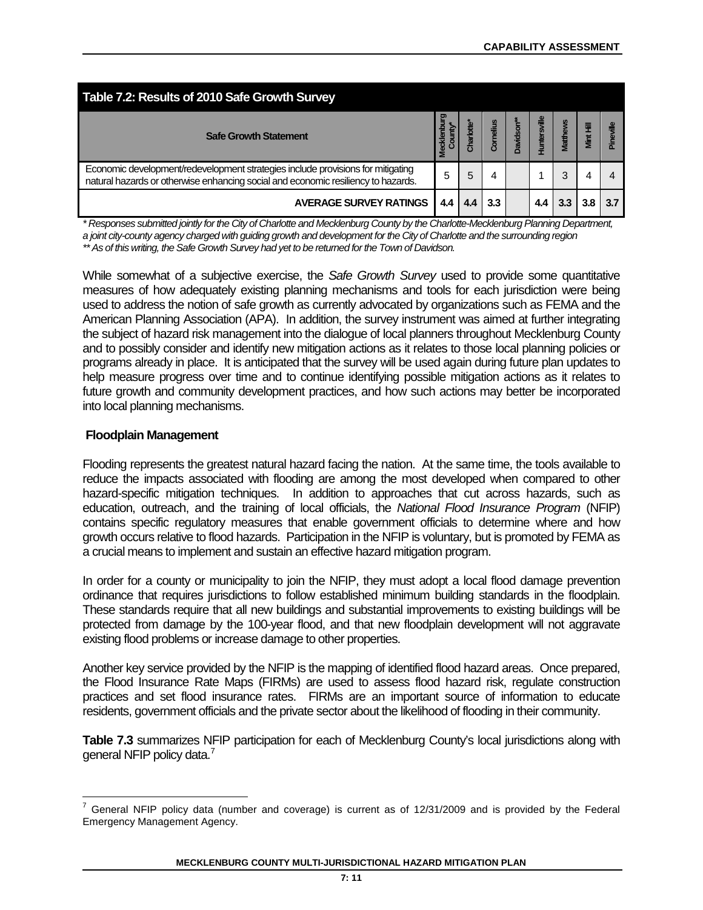| Table 7.2: Results of 2010 Safe Growth Survey                                                                                                                        |               |           |           |           |                     |          |           |  |  |  |
|----------------------------------------------------------------------------------------------------------------------------------------------------------------------|---------------|-----------|-----------|-----------|---------------------|----------|-----------|--|--|--|
| <b>Safe Growth Statement</b>                                                                                                                                         | <b>Meckle</b> | Charlotte | Cornelius | Davidson* | <b>Tuntersville</b> | Matthews | Mint Hill |  |  |  |
| Economic development/redevelopment strategies include provisions for mitigating<br>natural hazards or otherwise enhancing social and economic resiliency to hazards. | 5             | 5         | 4         |           |                     | 3        |           |  |  |  |
| <b>AVERAGE SURVEY RATINGS</b>                                                                                                                                        | 4.4           | 4.4       | 3.3       |           |                     |          |           |  |  |  |

*\* Responses submitted jointly for the City of Charlotte and Mecklenburg County by the Charlotte-Mecklenburg Planning Department, a joint city-county agency charged with guiding growth and development for the City of Charlotte and the surrounding region \*\* As of this writing, the Safe Growth Survey had yet to be returned for the Town of Davidson.*

While somewhat of a subjective exercise, the *Safe Growth Survey* used to provide some quantitative measures of how adequately existing planning mechanisms and tools for each jurisdiction were being used to address the notion of safe growth as currently advocated by organizations such as FEMA and the American Planning Association (APA). In addition, the survey instrument was aimed at further integrating the subject of hazard risk management into the dialogue of local planners throughout Mecklenburg County and to possibly consider and identify new mitigation actions as it relates to those local planning policies or programs already in place. It is anticipated that the survey will be used again during future plan updates to help measure progress over time and to continue identifying possible mitigation actions as it relates to future growth and community development practices, and how such actions may better be incorporated into local planning mechanisms.

## **Floodplain Management**

Flooding represents the greatest natural hazard facing the nation. At the same time, the tools available to reduce the impacts associated with flooding are among the most developed when compared to other hazard-specific mitigation techniques. In addition to approaches that cut across hazards, such as education, outreach, and the training of local officials, the *National Flood Insurance Program* (NFIP) contains specific regulatory measures that enable government officials to determine where and how growth occurs relative to flood hazards. Participation in the NFIP is voluntary, but is promoted by FEMA as a crucial means to implement and sustain an effective hazard mitigation program.

In order for a county or municipality to join the NFIP, they must adopt a local flood damage prevention ordinance that requires jurisdictions to follow established minimum building standards in the floodplain. These standards require that all new buildings and substantial improvements to existing buildings will be protected from damage by the 100-year flood, and that new floodplain development will not aggravate existing flood problems or increase damage to other properties.

Another key service provided by the NFIP is the mapping of identified flood hazard areas. Once prepared, the Flood Insurance Rate Maps (FIRMs) are used to assess flood hazard risk, regulate construction practices and set flood insurance rates. FIRMs are an important source of information to educate residents, government officials and the private sector about the likelihood of flooding in their community.

**Table 7.3** summarizes NFIP participation for each of Mecklenburg County's local jurisdictions along with general NFIP policy data.<sup>7</sup>

<span id="page-10-0"></span> $7$  General NFIP policy data (number and coverage) is current as of 12/31/2009 and is provided by the Federal Emergency Management Agency.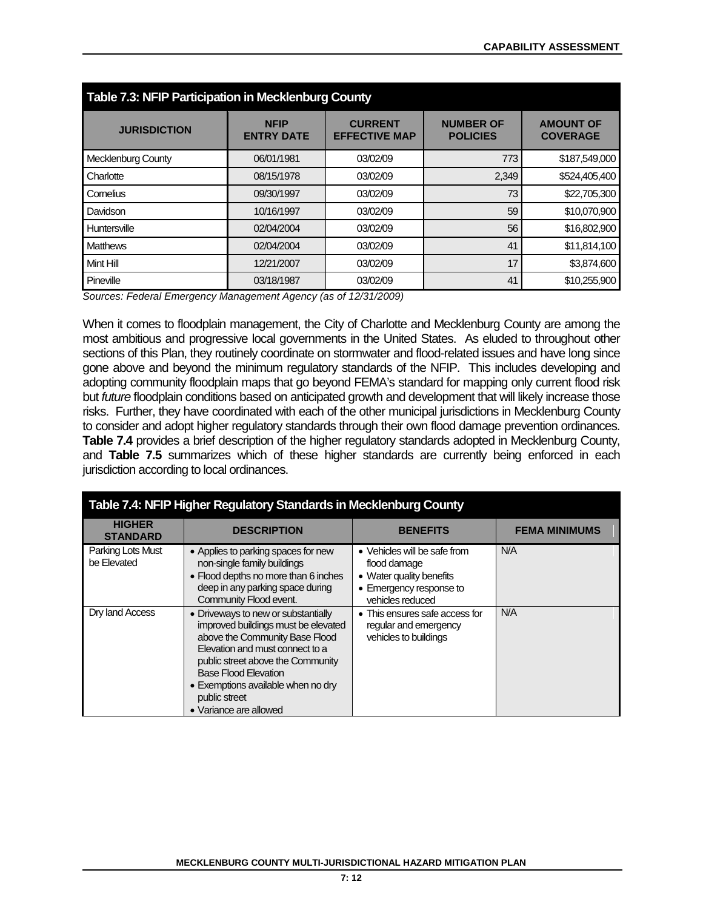| Table 7.3: NFIP Participation in Mecklenburg County |                                  |                                        |                                     |                                     |  |  |  |  |  |  |  |
|-----------------------------------------------------|----------------------------------|----------------------------------------|-------------------------------------|-------------------------------------|--|--|--|--|--|--|--|
| <b>JURISDICTION</b>                                 | <b>NFIP</b><br><b>ENTRY DATE</b> | <b>CURRENT</b><br><b>EFFECTIVE MAP</b> | <b>NUMBER OF</b><br><b>POLICIES</b> | <b>AMOUNT OF</b><br><b>COVERAGE</b> |  |  |  |  |  |  |  |
| Mecklenburg County                                  | 06/01/1981                       | 03/02/09                               | 773                                 | \$187,549,000                       |  |  |  |  |  |  |  |
| Charlotte                                           | 08/15/1978                       | 03/02/09                               | 2,349                               | \$524,405,400                       |  |  |  |  |  |  |  |
| Cornelius                                           | 09/30/1997                       | 03/02/09                               | 73                                  | \$22,705,300                        |  |  |  |  |  |  |  |
| Davidson                                            | 10/16/1997                       | 03/02/09                               | 59                                  | \$10,070,900                        |  |  |  |  |  |  |  |
| Huntersville                                        | 02/04/2004                       | 03/02/09                               | 56                                  | \$16,802,900                        |  |  |  |  |  |  |  |
| <b>Matthews</b>                                     | 02/04/2004                       | 03/02/09                               | 41                                  | \$11,814,100                        |  |  |  |  |  |  |  |
| Mint Hill                                           | 12/21/2007                       | 03/02/09                               | 17                                  | \$3,874,600                         |  |  |  |  |  |  |  |
| Pineville                                           | 03/18/1987                       | 03/02/09                               | 41                                  | \$10,255,900                        |  |  |  |  |  |  |  |

*Sources: Federal Emergency Management Agency (as of 12/31/2009)*

When it comes to floodplain management, the City of Charlotte and Mecklenburg County are among the most ambitious and progressive local governments in the United States. As eluded to throughout other sections of this Plan, they routinely coordinate on stormwater and flood-related issues and have long since gone above and beyond the minimum regulatory standards of the NFIP. This includes developing and adopting community floodplain maps that go beyond FEMA's standard for mapping only current flood risk but *future* floodplain conditions based on anticipated growth and development that will likely increase those risks. Further, they have coordinated with each of the other municipal jurisdictions in Mecklenburg County to consider and adopt higher regulatory standards through their own flood damage prevention ordinances. **Table 7.4** provides a brief description of the higher regulatory standards adopted in Mecklenburg County, and **Table 7.5** summarizes which of these higher standards are currently being enforced in each jurisdiction according to local ordinances.

|                                  | Table 7.4: NFIP Higher Regulatory Standards in Mecklenburg County                                                                                                                                                                                                                                    |                                                                                                                         |                      |
|----------------------------------|------------------------------------------------------------------------------------------------------------------------------------------------------------------------------------------------------------------------------------------------------------------------------------------------------|-------------------------------------------------------------------------------------------------------------------------|----------------------|
| <b>HIGHER</b><br><b>STANDARD</b> | <b>DESCRIPTION</b>                                                                                                                                                                                                                                                                                   | <b>BENEFITS</b>                                                                                                         | <b>FEMA MINIMUMS</b> |
| Parking Lots Must<br>be Elevated | • Applies to parking spaces for new<br>non-single family buildings<br>• Flood depths no more than 6 inches<br>deep in any parking space during<br>Community Flood event.                                                                                                                             | • Vehicles will be safe from<br>flood damage<br>• Water quality benefits<br>• Emergency response to<br>vehicles reduced | N/A                  |
| Dry land Access                  | • Driveways to new or substantially<br>improved buildings must be elevated<br>above the Community Base Flood<br>Elevation and must connect to a<br>public street above the Community<br><b>Base Flood Elevation</b><br>• Exemptions available when no dry<br>public street<br>• Variance are allowed | • This ensures safe access for<br>regular and emergency<br>vehicles to buildings                                        | N/A                  |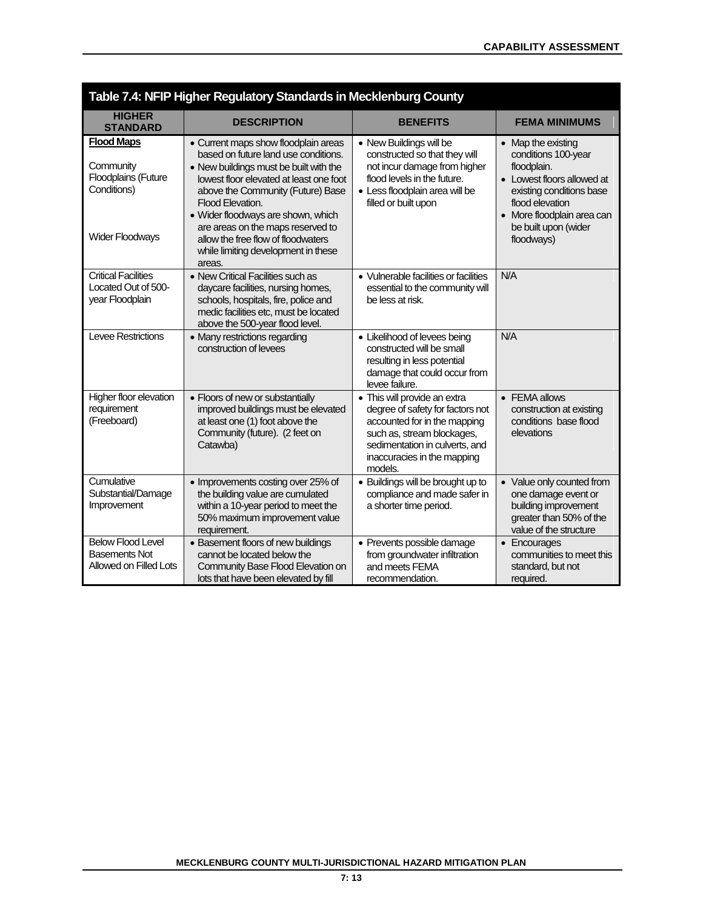|                                                                                                | Table 7.4: NFIP Higher Regulatory Standards in Mecklenburg County                                                                                                                                                                                                                                                                                                                            |                                                                                                                                                                                                            |                                                                                                                                                                                                           |
|------------------------------------------------------------------------------------------------|----------------------------------------------------------------------------------------------------------------------------------------------------------------------------------------------------------------------------------------------------------------------------------------------------------------------------------------------------------------------------------------------|------------------------------------------------------------------------------------------------------------------------------------------------------------------------------------------------------------|-----------------------------------------------------------------------------------------------------------------------------------------------------------------------------------------------------------|
| <b>HIGHER</b><br><b>STANDARD</b>                                                               | <b>DESCRIPTION</b>                                                                                                                                                                                                                                                                                                                                                                           | <b>BENEFITS</b>                                                                                                                                                                                            | <b>FEMA MINIMUMS</b>                                                                                                                                                                                      |
| <b>Flood Maps</b><br>Community<br>Floodplains (Future<br>Conditions)<br><b>Wider Floodways</b> | • Current maps show floodplain areas<br>based on future land use conditions.<br>• New buildings must be built with the<br>lowest floor elevated at least one foot<br>above the Community (Future) Base<br>Flood Elevation.<br>· Wider floodways are shown, which<br>are areas on the maps reserved to<br>allow the free flow of floodwaters<br>while limiting development in these<br>areas. | • New Buildings will be<br>constructed so that they will<br>not incur damage from higher<br>flood levels in the future.<br>· Less floodplain area will be<br>filled or built upon                          | • Map the existing<br>conditions 100-year<br>floodplain.<br>• Lowest floors allowed at<br>existing conditions base<br>flood elevation<br>• More floodplain area can<br>be built upon (wider<br>floodways) |
| <b>Critical Facilities</b><br>Located Out of 500-<br>year Floodplain                           | • New Critical Facilities such as<br>daycare facilities, nursing homes,<br>schools, hospitals, fire, police and<br>medic facilities etc, must be located<br>above the 500-year flood level.                                                                                                                                                                                                  | • Vulnerable facilities or facilities<br>essential to the community will<br>be less at risk.                                                                                                               | N/A                                                                                                                                                                                                       |
| <b>Levee Restrictions</b>                                                                      | • Many restrictions regarding<br>construction of levees                                                                                                                                                                                                                                                                                                                                      | • Likelihood of levees being<br>constructed will be small<br>resulting in less potential<br>damage that could occur from<br>levee failure.                                                                 | N/A                                                                                                                                                                                                       |
| Higher floor elevation<br>requirement<br>(Freeboard)                                           | • Floors of new or substantially<br>improved buildings must be elevated<br>at least one (1) foot above the<br>Community (future). (2 feet on<br>Catawba)                                                                                                                                                                                                                                     | • This will provide an extra<br>degree of safety for factors not<br>accounted for in the mapping<br>such as, stream blockages,<br>sedimentation in culverts, and<br>inaccuracies in the mapping<br>models. | • FEMA allows<br>construction at existing<br>conditions base flood<br>elevations                                                                                                                          |
| Cumulative<br>Substantial/Damage<br>Improvement                                                | • Improvements costing over 25% of<br>the building value are cumulated<br>within a 10-year period to meet the<br>50% maximum improvement value<br>requirement.                                                                                                                                                                                                                               | • Buildings will be brought up to<br>compliance and made safer in<br>a shorter time period.                                                                                                                | • Value only counted from<br>one damage event or<br>building improvement<br>greater than 50% of the<br>value of the structure                                                                             |
| <b>Below Flood Level</b><br><b>Basements Not</b><br>Allowed on Filled Lots                     | • Basement floors of new buildings<br>cannot be located below the<br>Community Base Flood Elevation on<br>lots that have been elevated by fill                                                                                                                                                                                                                                               | • Prevents possible damage<br>from groundwater infiltration<br>and meets FEMA<br>recommendation.                                                                                                           | • Encourages<br>communities to meet this<br>standard, but not<br>required.                                                                                                                                |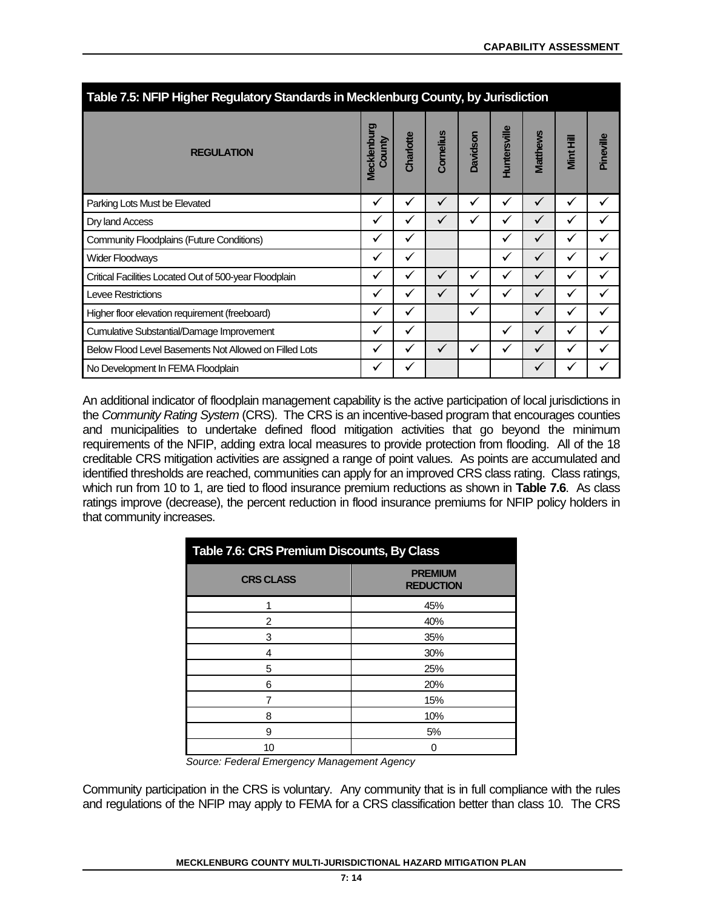| Table 7.5: NFIP Higher Regulatory Standards in Mecklenburg County, by Jurisdiction |                       |           |              |          |              |                 |           |           |  |  |  |  |
|------------------------------------------------------------------------------------|-----------------------|-----------|--------------|----------|--------------|-----------------|-----------|-----------|--|--|--|--|
| <b>REGULATION</b>                                                                  | Mecklenburg<br>County | Charlotte | Cornelius    | Davidson | Huntersville | <b>Matthews</b> | Mint Hill | Pineville |  |  |  |  |
| Parking Lots Must be Elevated                                                      | ✓                     | ✓         | $\checkmark$ | ✓        | ✓            | $\checkmark$    | ✓         | ✓         |  |  |  |  |
| Dry land Access                                                                    | ✓                     | ✓         | ✓            | ✓        | ✔            | ✓               | ✔         |           |  |  |  |  |
| <b>Community Floodplains (Future Conditions)</b>                                   | √                     | ✓         |              |          | ✔            | ✓               | √         |           |  |  |  |  |
| <b>Wider Floodways</b>                                                             | ✓                     | ✓         |              |          | √            | $\checkmark$    | ✓         |           |  |  |  |  |
| Critical Facilities Located Out of 500-year Floodplain                             | ✔                     | ✓         | ✓            | ✓        | v            | ✓               | ✔         |           |  |  |  |  |
| <b>Levee Restrictions</b>                                                          | ✓                     | ✓         | $\checkmark$ | ✓        | ✔            | ✓               | ✓         |           |  |  |  |  |
| Higher floor elevation requirement (freeboard)                                     | ✓                     | ✓         |              | ✓        |              | ✓               | ✓         |           |  |  |  |  |
| <b>Cumulative Substantial/Damage Improvement</b>                                   | ✓                     | ✓         |              |          | √            | ✓               | ✔         |           |  |  |  |  |
| Below Flood Level Basements Not Allowed on Filled Lots                             | ✔                     | ✓         | $\checkmark$ | ✓        | ✔            | ✓               | ✓         |           |  |  |  |  |
| No Development In FEMA Floodplain                                                  | v                     | ✔         |              |          |              | ✔               |           |           |  |  |  |  |

An additional indicator of floodplain management capability is the active participation of local jurisdictions in the *Community Rating System* (CRS). The CRS is an incentive-based program that encourages counties and municipalities to undertake defined flood mitigation activities that go beyond the minimum requirements of the NFIP, adding extra local measures to provide protection from flooding. All of the 18 creditable CRS mitigation activities are assigned a range of point values. As points are accumulated and identified thresholds are reached, communities can apply for an improved CRS class rating. Class ratings, which run from 10 to 1, are tied to flood insurance premium reductions as shown in **Table 7.6**. As class ratings improve (decrease), the percent reduction in flood insurance premiums for NFIP policy holders in that community increases.

| Table 7.6: CRS Premium Discounts, By Class  |                                    |
|---------------------------------------------|------------------------------------|
| <b>CRS CLASS</b>                            | <b>PREMIUM</b><br><b>REDUCTION</b> |
|                                             | 45%                                |
| 2                                           | 40%                                |
| 3                                           | 35%                                |
| 4                                           | 30%                                |
| 5                                           | 25%                                |
| 6                                           | 20%                                |
|                                             | 15%                                |
| 8                                           | 10%                                |
| 9                                           | 5%                                 |
| 10                                          | 0                                  |
| Course: Eaderal Emergency Menagement Agency |                                    |

*Source: Federal Emergency Management Agency*

Community participation in the CRS is voluntary. Any community that is in full compliance with the rules and regulations of the NFIP may apply to FEMA for a CRS classification better than class 10. The CRS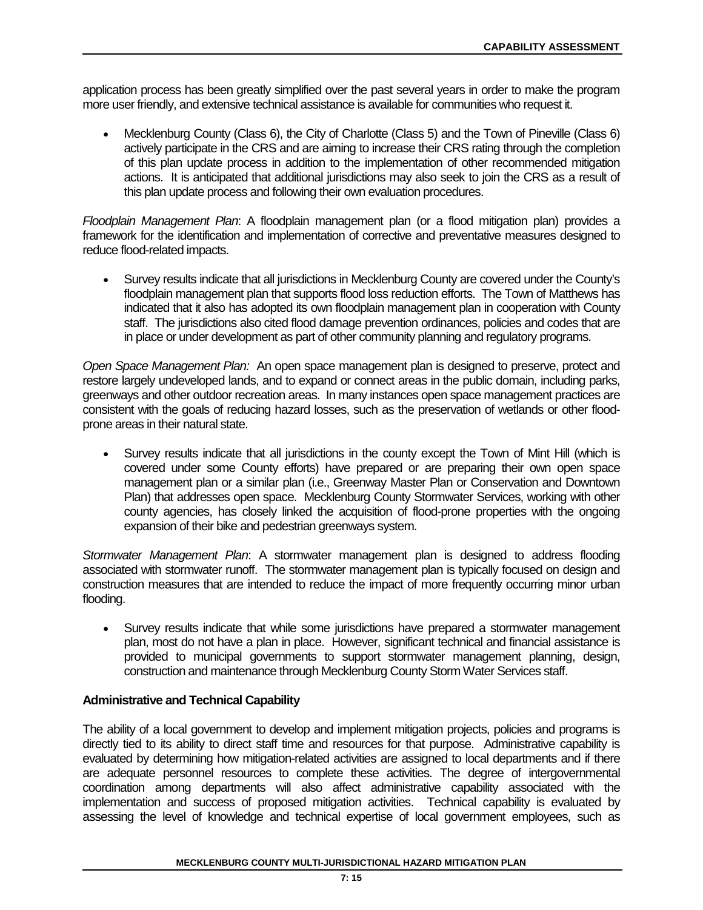application process has been greatly simplified over the past several years in order to make the program more user friendly, and extensive technical assistance is available for communities who request it.

• Mecklenburg County (Class 6), the City of Charlotte (Class 5) and the Town of Pineville (Class 6) actively participate in the CRS and are aiming to increase their CRS rating through the completion of this plan update process in addition to the implementation of other recommended mitigation actions. It is anticipated that additional jurisdictions may also seek to join the CRS as a result of this plan update process and following their own evaluation procedures.

*Floodplain Management Plan*: A floodplain management plan (or a flood mitigation plan) provides a framework for the identification and implementation of corrective and preventative measures designed to reduce flood-related impacts.

• Survey results indicate that all jurisdictions in Mecklenburg County are covered under the County's floodplain management plan that supports flood loss reduction efforts. The Town of Matthews has indicated that it also has adopted its own floodplain management plan in cooperation with County staff. The jurisdictions also cited flood damage prevention ordinances, policies and codes that are in place or under development as part of other community planning and regulatory programs.

*Open Space Management Plan:* An open space management plan is designed to preserve, protect and restore largely undeveloped lands, and to expand or connect areas in the public domain, including parks, greenways and other outdoor recreation areas. In many instances open space management practices are consistent with the goals of reducing hazard losses, such as the preservation of wetlands or other floodprone areas in their natural state.

• Survey results indicate that all jurisdictions in the county except the Town of Mint Hill (which is covered under some County efforts) have prepared or are preparing their own open space management plan or a similar plan (i.e., Greenway Master Plan or Conservation and Downtown Plan) that addresses open space. Mecklenburg County Stormwater Services, working with other county agencies, has closely linked the acquisition of flood-prone properties with the ongoing expansion of their bike and pedestrian greenways system.

*Stormwater Management Plan*: A stormwater management plan is designed to address flooding associated with stormwater runoff. The stormwater management plan is typically focused on design and construction measures that are intended to reduce the impact of more frequently occurring minor urban flooding.

• Survey results indicate that while some jurisdictions have prepared a stormwater management plan, most do not have a plan in place. However, significant technical and financial assistance is provided to municipal governments to support stormwater management planning, design, construction and maintenance through Mecklenburg County Storm Water Services staff.

# **Administrative and Technical Capability**

The ability of a local government to develop and implement mitigation projects, policies and programs is directly tied to its ability to direct staff time and resources for that purpose. Administrative capability is evaluated by determining how mitigation-related activities are assigned to local departments and if there are adequate personnel resources to complete these activities. The degree of intergovernmental coordination among departments will also affect administrative capability associated with the implementation and success of proposed mitigation activities. Technical capability is evaluated by assessing the level of knowledge and technical expertise of local government employees, such as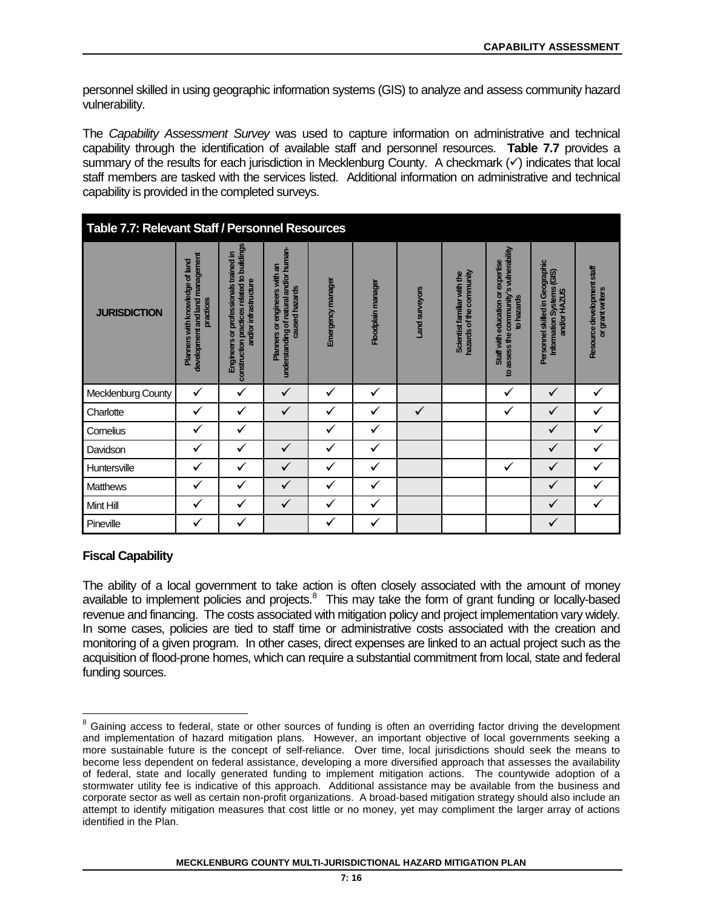personnel skilled in using geographic information systems (GIS) to analyze and assess community hazard vulnerability.

The *Capability Assessment Survey* was used to capture information on administrative and technical capability through the identification of available staff and personnel resources. **Table 7.7** provides a summary of the results for each jurisdiction in Mecklenburg County. A checkmark  $(\checkmark)$  indicates that local staff members are tasked with the services listed. Additional information on administrative and technical capability is provided in the completed surveys.

|                     | Table 7.7: Relevant Staff / Personnel Resources                                 |                                                                                                               |                                                                                           |                   |                    |                |                                                         |                                                                                            |                                                                              |                                                |  |  |  |
|---------------------|---------------------------------------------------------------------------------|---------------------------------------------------------------------------------------------------------------|-------------------------------------------------------------------------------------------|-------------------|--------------------|----------------|---------------------------------------------------------|--------------------------------------------------------------------------------------------|------------------------------------------------------------------------------|------------------------------------------------|--|--|--|
| <b>JURISDICTION</b> | development and land management<br>Planners with knowledge of land<br>practices | construction practices related to buildings<br>Engineers or professionals trained in<br>and/or infrastructure | understanding of natural and/or human-<br>Planners or engineers with an<br>caused hazards | Emergency manager | Floodplain manager | Land surveyors | hazards of the community<br>Scientist familiar with the | to assess the community's vulnerability<br>Staff with education or expertise<br>to hazards | Personnel skilled in Geographic<br>Information Systems (GIS)<br>and/or HAZUS | Resource development staff<br>or grant writers |  |  |  |
| Mecklenburg County  | ✓                                                                               | ✓                                                                                                             | ✓                                                                                         | ✓                 | ✓                  |                |                                                         | ✓                                                                                          | ✓                                                                            | ✓                                              |  |  |  |
| Charlotte           | ✓                                                                               | ✓                                                                                                             | $\checkmark$                                                                              | ✓                 | ✓                  | $\checkmark$   |                                                         |                                                                                            | ✓                                                                            |                                                |  |  |  |
| Cornelius           |                                                                                 | ✓                                                                                                             |                                                                                           | ✓                 | ✓                  |                |                                                         |                                                                                            |                                                                              |                                                |  |  |  |
| Davidson            |                                                                                 |                                                                                                               | ✓                                                                                         | ✓                 | ✓                  |                |                                                         |                                                                                            | ✓                                                                            |                                                |  |  |  |
| Huntersville        | ✔                                                                               | $\checkmark$                                                                                                  | ✓                                                                                         | ✓                 | $\checkmark$       |                |                                                         | ✓                                                                                          | ✓                                                                            |                                                |  |  |  |
| <b>Matthews</b>     | ✓                                                                               | ✓                                                                                                             | ✓                                                                                         | ✓                 | ✓                  |                |                                                         |                                                                                            | ✓                                                                            |                                                |  |  |  |
| Mint Hill           | √                                                                               | $\checkmark$                                                                                                  | ✓                                                                                         | ✓                 | $\checkmark$       |                |                                                         |                                                                                            | ✓                                                                            |                                                |  |  |  |
| Pineville           | √                                                                               | $\checkmark$                                                                                                  |                                                                                           | ✓                 | ✓                  |                |                                                         |                                                                                            | ✓                                                                            |                                                |  |  |  |

# **Fiscal Capability**

The ability of a local government to take action is often closely associated with the amount of money available to implement policies and projects.<sup>8</sup> This may take the form of grant funding or locally-based revenue and financing. The costs associated with mitigation policy and project implementation vary widely. In some cases, policies are tied to staff time or administrative costs associated with the creation and monitoring of a given program. In other cases, direct expenses are linked to an actual project such as the acquisition of flood-prone homes, which can require a substantial commitment from local, state and federal funding sources.

<span id="page-15-0"></span><sup>&</sup>lt;sup>8</sup> Gaining access to federal, state or other sources of funding is often an overriding factor driving the development and implementation of hazard mitigation plans. However, an important objective of local governments seeking a more sustainable future is the concept of self-reliance. Over time, local jurisdictions should seek the means to become less dependent on federal assistance, developing a more diversified approach that assesses the availability of federal, state and locally generated funding to implement mitigation actions. The countywide adoption of a stormwater utility fee is indicative of this approach. Additional assistance may be available from the business and corporate sector as well as certain non-profit organizations. A broad-based mitigation strategy should also include an attempt to identify mitigation measures that cost little or no money, yet may compliment the larger array of actions identified in the Plan.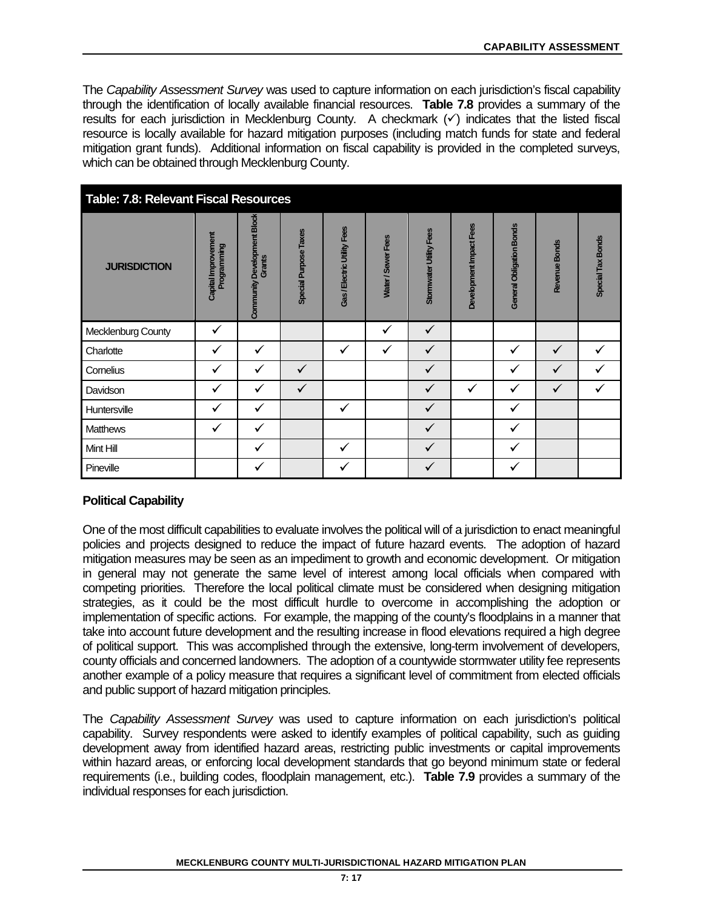The *Capability Assessment Survey* was used to capture information on each jurisdiction's fiscal capability through the identification of locally available financial resources. **Table 7.8** provides a summary of the results for each jurisdiction in Mecklenburg County. A checkmark  $(\checkmark)$  indicates that the listed fiscal resource is locally available for hazard mitigation purposes (including match funds for state and federal mitigation grant funds). Additional information on fiscal capability is provided in the completed surveys, which can be obtained through Mecklenburg County.

| <b>Table: 7.8: Relevant Fiscal Resources</b> |                                           |                                       |                              |                             |                    |                         |                         |                          |               |                   |  |  |
|----------------------------------------------|-------------------------------------------|---------------------------------------|------------------------------|-----------------------------|--------------------|-------------------------|-------------------------|--------------------------|---------------|-------------------|--|--|
| <b>JURISDICTION</b>                          | Capital Improvement<br><b>Programming</b> | Community Development Block<br>Grants | <b>Special Purpose Taxes</b> | Gas / Electric Utility Fees | Water / Sewer Fees | Stormwater Utility Fees | Development Impact Fees | General Obligation Bonds | Revenue Bonds | Special Tax Bonds |  |  |
| Mecklenburg County                           | ✓                                         |                                       |                              |                             | $\checkmark$       | ✓                       |                         |                          |               |                   |  |  |
| Charlotte                                    | $\checkmark$                              | $\checkmark$                          |                              | ✓                           | $\checkmark$       | ✓                       |                         | $\checkmark$             | $\checkmark$  | ✓                 |  |  |
| Cornelius                                    | ✓                                         | $\checkmark$                          | ✓                            |                             |                    | ✓                       |                         | ✓                        | ✓             | ✓                 |  |  |
| Davidson                                     | ✓                                         | $\checkmark$                          | $\checkmark$                 |                             |                    | $\checkmark$            | ✓                       | $\checkmark$             | $\checkmark$  | ✓                 |  |  |
| Huntersville                                 | $\checkmark$                              | ✓                                     |                              | ✓                           |                    | $\checkmark$            |                         | $\checkmark$             |               |                   |  |  |
| <b>Matthews</b>                              | ✓                                         | $\checkmark$                          |                              |                             |                    | $\checkmark$            |                         | $\checkmark$             |               |                   |  |  |
| Mint Hill                                    |                                           | ✓                                     |                              | ✓                           |                    | $\checkmark$            |                         | ✓                        |               |                   |  |  |
| Pineville                                    |                                           | ✓                                     |                              | ✓                           |                    | ✓                       |                         | $\checkmark$             |               |                   |  |  |

# **Political Capability**

One of the most difficult capabilities to evaluate involves the political will of a jurisdiction to enact meaningful policies and projects designed to reduce the impact of future hazard events. The adoption of hazard mitigation measures may be seen as an impediment to growth and economic development. Or mitigation in general may not generate the same level of interest among local officials when compared with competing priorities. Therefore the local political climate must be considered when designing mitigation strategies, as it could be the most difficult hurdle to overcome in accomplishing the adoption or implementation of specific actions. For example, the mapping of the county's floodplains in a manner that take into account future development and the resulting increase in flood elevations required a high degree of political support. This was accomplished through the extensive, long-term involvement of developers, county officials and concerned landowners. The adoption of a countywide stormwater utility fee represents another example of a policy measure that requires a significant level of commitment from elected officials and public support of hazard mitigation principles.

The *Capability Assessment Survey* was used to capture information on each jurisdiction's political capability. Survey respondents were asked to identify examples of political capability, such as guiding development away from identified hazard areas, restricting public investments or capital improvements within hazard areas, or enforcing local development standards that go beyond minimum state or federal requirements (i.e., building codes, floodplain management, etc.). **Table 7.9** provides a summary of the individual responses for each jurisdiction.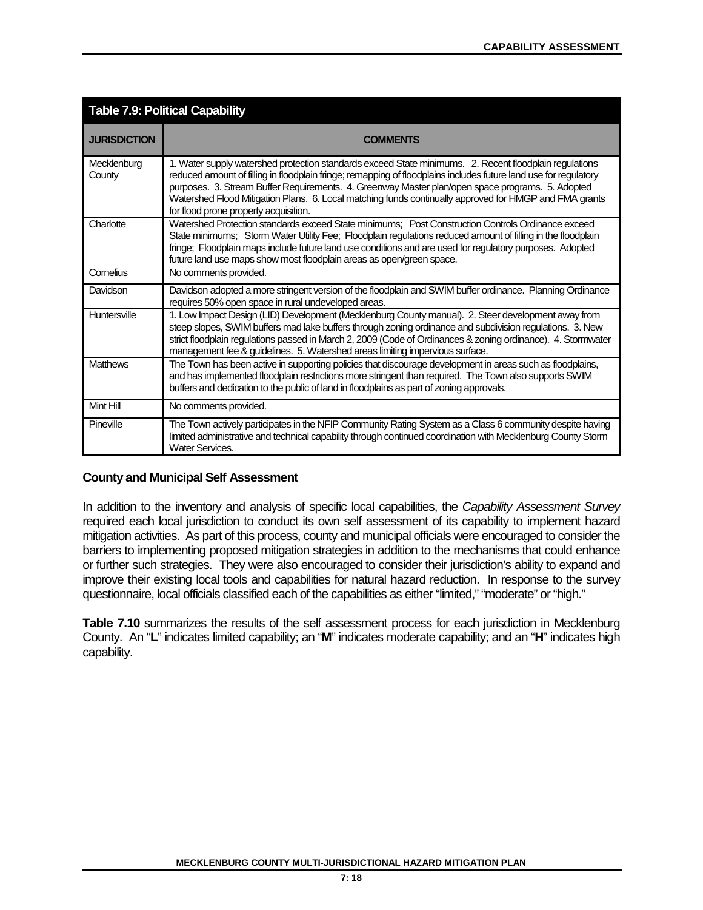| <b>Table 7.9: Political Capability</b> |                                                                                                                                                                                                                                                                                                                                                                                                                                                                                   |  |  |  |
|----------------------------------------|-----------------------------------------------------------------------------------------------------------------------------------------------------------------------------------------------------------------------------------------------------------------------------------------------------------------------------------------------------------------------------------------------------------------------------------------------------------------------------------|--|--|--|
| <b>JURISDICTION</b>                    | <b>COMMENTS</b>                                                                                                                                                                                                                                                                                                                                                                                                                                                                   |  |  |  |
| Mecklenburg<br>County                  | 1. Water supply watershed protection standards exceed State minimums. 2. Recent floodplain regulations<br>reduced amount of filling in floodplain fringe; remapping of floodplains includes future land use for regulatory<br>purposes. 3. Stream Buffer Requirements. 4. Greenway Master plan/open space programs. 5. Adopted<br>Watershed Flood Mitigation Plans. 6. Local matching funds continually approved for HMGP and FMA grants<br>for flood prone property acquisition. |  |  |  |
| Charlotte                              | Watershed Protection standards exceed State minimums; Post Construction Controls Ordinance exceed<br>State minimums; Storm Water Utility Fee; Floodplain regulations reduced amount of filling in the floodplain<br>fringe; Floodplain maps include future land use conditions and are used for regulatory purposes. Adopted<br>future land use maps show most floodplain areas as open/green space.                                                                              |  |  |  |
| Cornelius                              | No comments provided.                                                                                                                                                                                                                                                                                                                                                                                                                                                             |  |  |  |
| Davidson                               | Davidson adopted a more stringent version of the floodplain and SWIM buffer ordinance. Planning Ordinance<br>requires 50% open space in rural undeveloped areas.                                                                                                                                                                                                                                                                                                                  |  |  |  |
| Huntersville                           | 1. Low Impact Design (LID) Development (Mecklenburg County manual). 2. Steer development away from<br>steep slopes, SWIM buffers mad lake buffers through zoning ordinance and subdivision regulations. 3. New<br>strict floodplain regulations passed in March 2, 2009 (Code of Ordinances & zoning ordinance). 4. Stomwater<br>management fee & guidelines. 5. Watershed areas limiting impervious surface.                                                                     |  |  |  |
| <b>Matthews</b>                        | The Town has been active in supporting policies that discourage development in areas such as floodplains,<br>and has implemented floodplain restrictions more stringent than required. The Town also supports SWIM<br>buffers and dedication to the public of land in floodplains as part of zoning approvals.                                                                                                                                                                    |  |  |  |
| Mint Hill                              | No comments provided.                                                                                                                                                                                                                                                                                                                                                                                                                                                             |  |  |  |
| Pineville                              | The Town actively participates in the NFIP Community Rating System as a Class 6 community despite having<br>limited administrative and technical capability through continued coordination with Mecklenburg County Storm<br><b>Water Services.</b>                                                                                                                                                                                                                                |  |  |  |

# **County and Municipal Self Assessment**

In addition to the inventory and analysis of specific local capabilities, the *Capability Assessment Survey*  required each local jurisdiction to conduct its own self assessment of its capability to implement hazard mitigation activities. As part of this process, county and municipal officials were encouraged to consider the barriers to implementing proposed mitigation strategies in addition to the mechanisms that could enhance or further such strategies. They were also encouraged to consider their jurisdiction's ability to expand and improve their existing local tools and capabilities for natural hazard reduction. In response to the survey questionnaire, local officials classified each of the capabilities as either "limited," "moderate" or "high."

Table 7.10 summarizes the results of the self assessment process for each jurisdiction in Mecklenburg County. An "**L**" indicates limited capability; an "**M**" indicates moderate capability; and an "**H**" indicates high capability.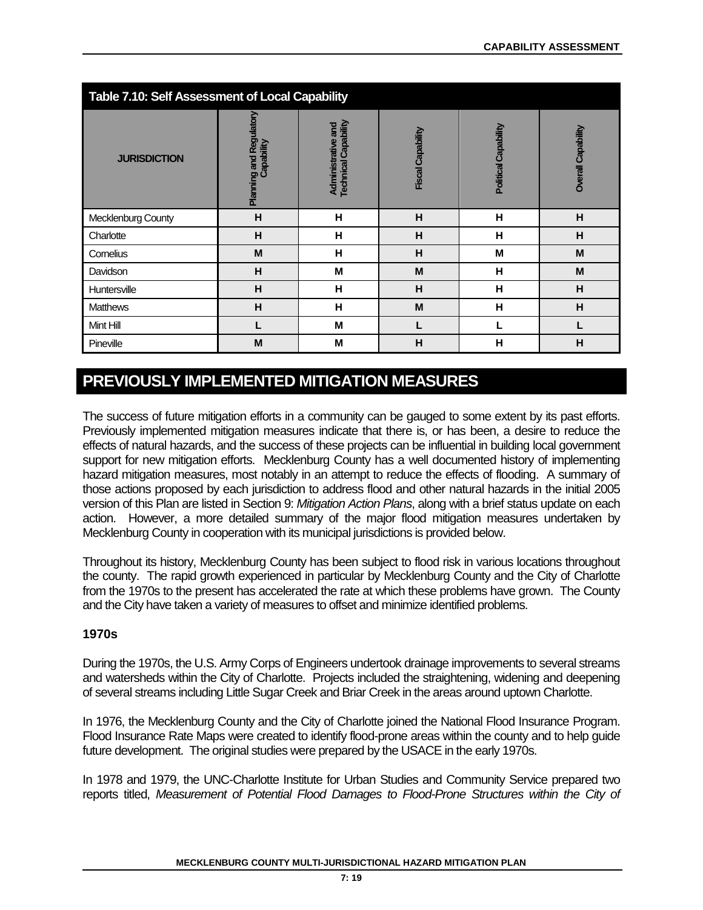| <b>Table 7.10: Self Assessment of Local Capability</b> |                                       |                                                   |                          |                      |                    |  |  |  |
|--------------------------------------------------------|---------------------------------------|---------------------------------------------------|--------------------------|----------------------|--------------------|--|--|--|
| <b>JURISDICTION</b>                                    | Planning and Regulatory<br>Capability | <b>Technical Capability</b><br>Administrative and | <b>Fiscal Capability</b> | Political Capability | Overall Capability |  |  |  |
| Mecklenburg County                                     | H                                     | н                                                 | H                        | н                    | H                  |  |  |  |
| Charlotte                                              | н                                     | н                                                 | н                        | н                    | н                  |  |  |  |
| Cornelius                                              | M                                     | н                                                 | Н                        | M                    | M                  |  |  |  |
| Davidson                                               | н                                     | M                                                 | M                        | н                    | M                  |  |  |  |
| Huntersville                                           | H                                     | н                                                 | H                        | н                    | H                  |  |  |  |
| <b>Matthews</b>                                        | H                                     | н                                                 | M                        | Н                    | H                  |  |  |  |
| Mint Hill                                              |                                       | M                                                 |                          |                      |                    |  |  |  |
| Pineville                                              | M                                     | M                                                 | H                        | н                    | н                  |  |  |  |

# **PREVIOUSLY IMPLEMENTED MITIGATION MEASURES**

The success of future mitigation efforts in a community can be gauged to some extent by its past efforts. Previously implemented mitigation measures indicate that there is, or has been, a desire to reduce the effects of natural hazards, and the success of these projects can be influential in building local government support for new mitigation efforts. Mecklenburg County has a well documented history of implementing hazard mitigation measures, most notably in an attempt to reduce the effects of flooding. A summary of those actions proposed by each jurisdiction to address flood and other natural hazards in the initial 2005 version of this Plan are listed in Section 9: *Mitigation Action Plans*, along with a brief status update on each action. However, a more detailed summary of the major flood mitigation measures undertaken by Mecklenburg County in cooperation with its municipal jurisdictions is provided below.

Throughout its history, Mecklenburg County has been subject to flood risk in various locations throughout the county. The rapid growth experienced in particular by Mecklenburg County and the City of Charlotte from the 1970s to the present has accelerated the rate at which these problems have grown. The County and the City have taken a variety of measures to offset and minimize identified problems.

# **1970s**

During the 1970s, the U.S. Army Corps of Engineers undertook drainage improvements to several streams and watersheds within the City of Charlotte. Projects included the straightening, widening and deepening of several streams including Little Sugar Creek and Briar Creek in the areas around uptown Charlotte.

In 1976, the Mecklenburg County and the City of Charlotte joined the National Flood Insurance Program. Flood Insurance Rate Maps were created to identify flood-prone areas within the county and to help guide future development. The original studies were prepared by the USACE in the early 1970s.

In 1978 and 1979, the UNC-Charlotte Institute for Urban Studies and Community Service prepared two reports titled, *Measurement of Potential Flood Damages to Flood-Prone Structures within the City of*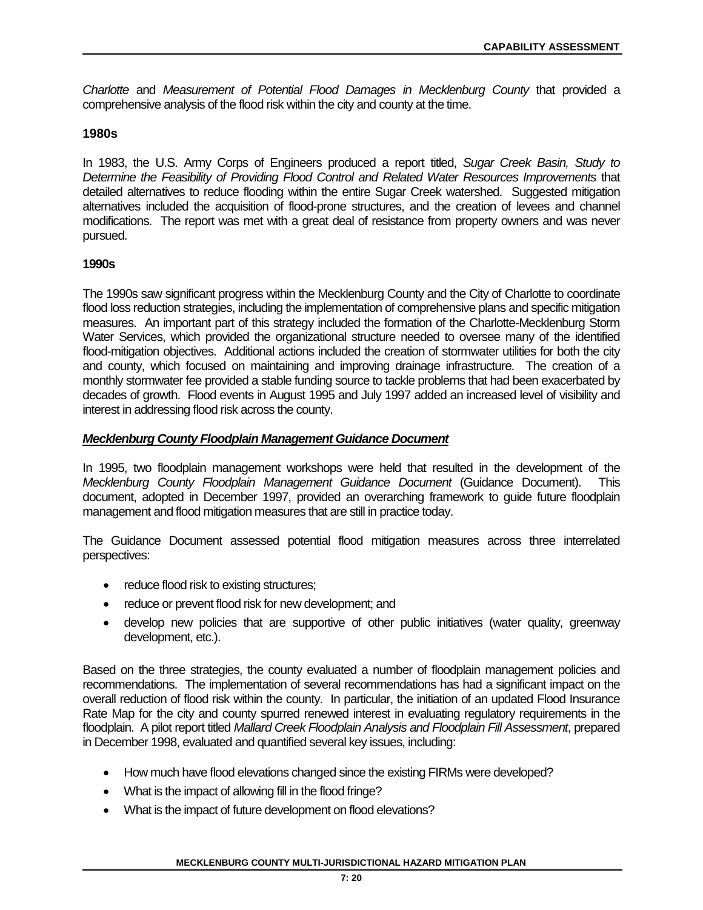*Charlotte* and *Measurement of Potential Flood Damages in Mecklenburg County* that provided a comprehensive analysis of the flood risk within the city and county at the time.

## **1980s**

In 1983, the U.S. Army Corps of Engineers produced a report titled, *Sugar Creek Basin, Study to Determine the Feasibility of Providing Flood Control and Related Water Resources Improvements* that detailed alternatives to reduce flooding within the entire Sugar Creek watershed. Suggested mitigation alternatives included the acquisition of flood-prone structures, and the creation of levees and channel modifications. The report was met with a great deal of resistance from property owners and was never pursued.

## **1990s**

The 1990s saw significant progress within the Mecklenburg County and the City of Charlotte to coordinate flood loss reduction strategies, including the implementation of comprehensive plans and specific mitigation measures. An important part of this strategy included the formation of the Charlotte-Mecklenburg Storm Water Services, which provided the organizational structure needed to oversee many of the identified flood-mitigation objectives. Additional actions included the creation of stormwater utilities for both the city and county, which focused on maintaining and improving drainage infrastructure. The creation of a monthly stormwater fee provided a stable funding source to tackle problems that had been exacerbated by decades of growth. Flood events in August 1995 and July 1997 added an increased level of visibility and interest in addressing flood risk across the county.

# *Mecklenburg County Floodplain Management Guidance Document*

In 1995, two floodplain management workshops were held that resulted in the development of the *Mecklenburg County Floodplain Management Guidance Document* (Guidance Document). This document, adopted in December 1997, provided an overarching framework to guide future floodplain management and flood mitigation measures that are still in practice today.

The Guidance Document assessed potential flood mitigation measures across three interrelated perspectives:

- reduce flood risk to existing structures;
- reduce or prevent flood risk for new development; and
- develop new policies that are supportive of other public initiatives (water quality, greenway development, etc.).

Based on the three strategies, the county evaluated a number of floodplain management policies and recommendations. The implementation of several recommendations has had a significant impact on the overall reduction of flood risk within the county. In particular, the initiation of an updated Flood Insurance Rate Map for the city and county spurred renewed interest in evaluating regulatory requirements in the floodplain. A pilot report titled *Mallard Creek Floodplain Analysis and Floodplain Fill Assessment*, prepared in December 1998, evaluated and quantified several key issues, including:

- How much have flood elevations changed since the existing FIRMs were developed?
- What is the impact of allowing fill in the flood fringe?
- What is the impact of future development on flood elevations?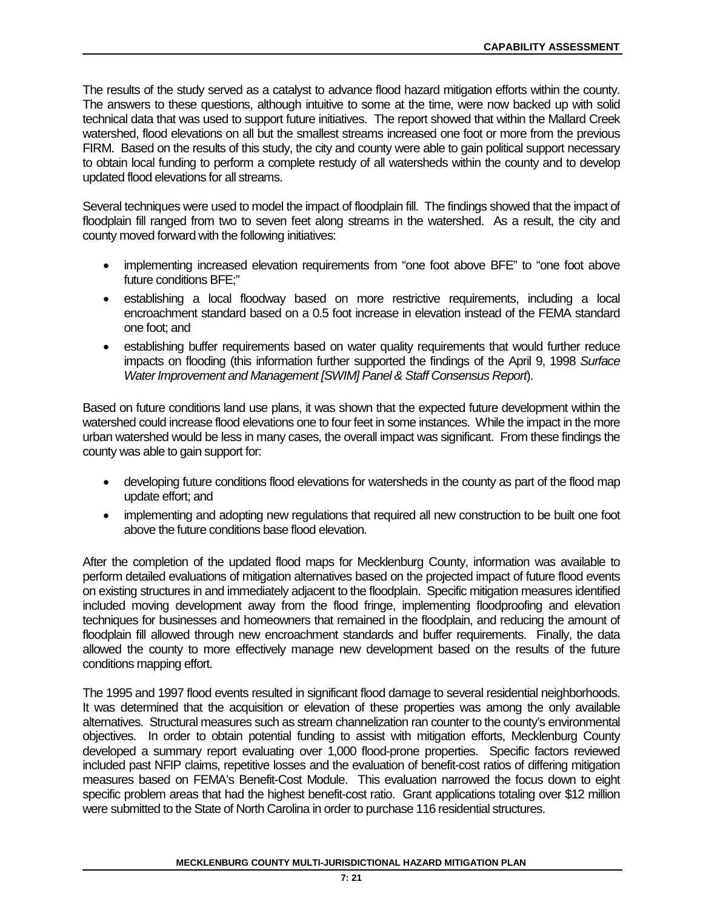The results of the study served as a catalyst to advance flood hazard mitigation efforts within the county. The answers to these questions, although intuitive to some at the time, were now backed up with solid technical data that was used to support future initiatives. The report showed that within the Mallard Creek watershed, flood elevations on all but the smallest streams increased one foot or more from the previous FIRM. Based on the results of this study, the city and county were able to gain political support necessary to obtain local funding to perform a complete restudy of all watersheds within the county and to develop updated flood elevations for all streams.

Several techniques were used to model the impact of floodplain fill. The findings showed that the impact of floodplain fill ranged from two to seven feet along streams in the watershed. As a result, the city and county moved forward with the following initiatives:

- implementing increased elevation requirements from "one foot above BFE" to "one foot above future conditions BFE;"
- establishing a local floodway based on more restrictive requirements, including a local encroachment standard based on a 0.5 foot increase in elevation instead of the FEMA standard one foot; and
- establishing buffer requirements based on water quality requirements that would further reduce impacts on flooding (this information further supported the findings of the April 9, 1998 *Surface Water Improvement and Management [SWIM] Panel & Staff Consensus Report*).

Based on future conditions land use plans, it was shown that the expected future development within the watershed could increase flood elevations one to four feet in some instances. While the impact in the more urban watershed would be less in many cases, the overall impact was significant. From these findings the county was able to gain support for:

- developing future conditions flood elevations for watersheds in the county as part of the flood map update effort; and
- implementing and adopting new regulations that required all new construction to be built one foot above the future conditions base flood elevation.

After the completion of the updated flood maps for Mecklenburg County, information was available to perform detailed evaluations of mitigation alternatives based on the projected impact of future flood events on existing structures in and immediately adjacent to the floodplain. Specific mitigation measures identified included moving development away from the flood fringe, implementing floodproofing and elevation techniques for businesses and homeowners that remained in the floodplain, and reducing the amount of floodplain fill allowed through new encroachment standards and buffer requirements. Finally, the data allowed the county to more effectively manage new development based on the results of the future conditions mapping effort.

The 1995 and 1997 flood events resulted in significant flood damage to several residential neighborhoods. It was determined that the acquisition or elevation of these properties was among the only available alternatives. Structural measures such as stream channelization ran counter to the county's environmental objectives. In order to obtain potential funding to assist with mitigation efforts, Mecklenburg County developed a summary report evaluating over 1,000 flood-prone properties. Specific factors reviewed included past NFIP claims, repetitive losses and the evaluation of benefit-cost ratios of differing mitigation measures based on FEMA's Benefit-Cost Module. This evaluation narrowed the focus down to eight specific problem areas that had the highest benefit-cost ratio. Grant applications totaling over \$12 million were submitted to the State of North Carolina in order to purchase 116 residential structures.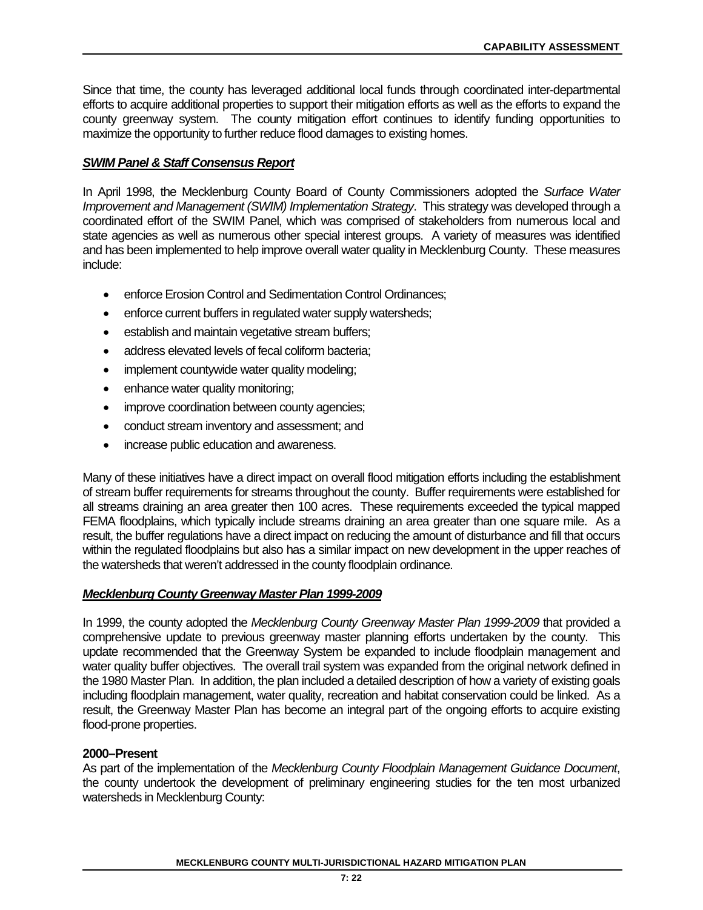Since that time, the county has leveraged additional local funds through coordinated inter-departmental efforts to acquire additional properties to support their mitigation efforts as well as the efforts to expand the county greenway system. The county mitigation effort continues to identify funding opportunities to maximize the opportunity to further reduce flood damages to existing homes.

## *SWIM Panel & Staff Consensus Report*

In April 1998, the Mecklenburg County Board of County Commissioners adopted the *Surface Water Improvement and Management (SWIM) Implementation Strategy*. This strategy was developed through a coordinated effort of the SWIM Panel, which was comprised of stakeholders from numerous local and state agencies as well as numerous other special interest groups. A variety of measures was identified and has been implemented to help improve overall water quality in Mecklenburg County. These measures include:

- enforce Erosion Control and Sedimentation Control Ordinances;
- enforce current buffers in regulated water supply watersheds;
- establish and maintain vegetative stream buffers;
- address elevated levels of fecal coliform bacteria;
- implement countywide water quality modeling;
- enhance water quality monitoring;
- improve coordination between county agencies;
- conduct stream inventory and assessment; and
- increase public education and awareness.

Many of these initiatives have a direct impact on overall flood mitigation efforts including the establishment of stream buffer requirements for streams throughout the county. Buffer requirements were established for all streams draining an area greater then 100 acres. These requirements exceeded the typical mapped FEMA floodplains, which typically include streams draining an area greater than one square mile. As a result, the buffer regulations have a direct impact on reducing the amount of disturbance and fill that occurs within the regulated floodplains but also has a similar impact on new development in the upper reaches of the watersheds that weren't addressed in the county floodplain ordinance.

#### *Mecklenburg County Greenway Master Plan 1999-2009*

In 1999, the county adopted the *Mecklenburg County Greenway Master Plan 1999-2009* that provided a comprehensive update to previous greenway master planning efforts undertaken by the county. This update recommended that the Greenway System be expanded to include floodplain management and water quality buffer objectives. The overall trail system was expanded from the original network defined in the 1980 Master Plan. In addition, the plan included a detailed description of how a variety of existing goals including floodplain management, water quality, recreation and habitat conservation could be linked. As a result, the Greenway Master Plan has become an integral part of the ongoing efforts to acquire existing flood-prone properties.

#### **2000–Present**

As part of the implementation of the *Mecklenburg County Floodplain Management Guidance Document*, the county undertook the development of preliminary engineering studies for the ten most urbanized watersheds in Mecklenburg County: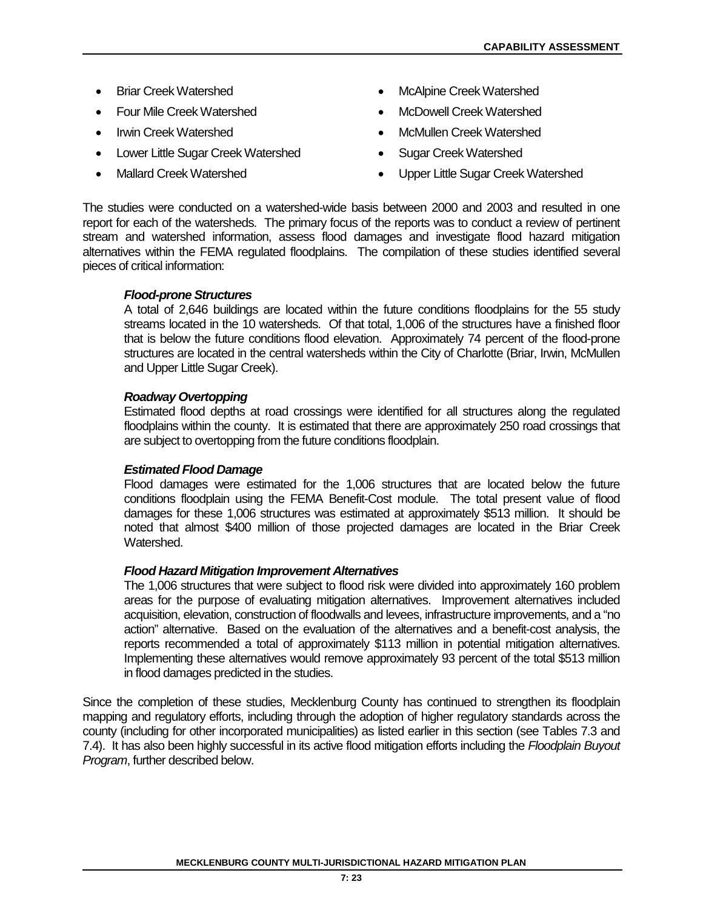- 
- 
- 
- Lower Little Sugar Creek Watershed Sugar Creek Watershed
- 
- Briar Creek Watershed McAlpine Creek Watershed
- Four Mile Creek Watershed McDowell Creek Watershed
- Irwin Creek Watershed McMullen Creek Watershed
	-
	- Mallard Creek Watershed Upper Little Sugar Creek Watershed

The studies were conducted on a watershed-wide basis between 2000 and 2003 and resulted in one report for each of the watersheds. The primary focus of the reports was to conduct a review of pertinent stream and watershed information, assess flood damages and investigate flood hazard mitigation alternatives within the FEMA regulated floodplains. The compilation of these studies identified several pieces of critical information:

#### *Flood-prone Structures*

A total of 2,646 buildings are located within the future conditions floodplains for the 55 study streams located in the 10 watersheds. Of that total, 1,006 of the structures have a finished floor that is below the future conditions flood elevation. Approximately 74 percent of the flood-prone structures are located in the central watersheds within the City of Charlotte (Briar, Irwin, McMullen and Upper Little Sugar Creek).

#### *Roadway Overtopping*

Estimated flood depths at road crossings were identified for all structures along the regulated floodplains within the county. It is estimated that there are approximately 250 road crossings that are subject to overtopping from the future conditions floodplain.

#### *Estimated Flood Damage*

Flood damages were estimated for the 1,006 structures that are located below the future conditions floodplain using the FEMA Benefit-Cost module. The total present value of flood damages for these 1,006 structures was estimated at approximately \$513 million. It should be noted that almost \$400 million of those projected damages are located in the Briar Creek Watershed.

#### *Flood Hazard Mitigation Improvement Alternatives*

The 1,006 structures that were subject to flood risk were divided into approximately 160 problem areas for the purpose of evaluating mitigation alternatives. Improvement alternatives included acquisition, elevation, construction of floodwalls and levees, infrastructure improvements, and a "no action" alternative. Based on the evaluation of the alternatives and a benefit-cost analysis, the reports recommended a total of approximately \$113 million in potential mitigation alternatives. Implementing these alternatives would remove approximately 93 percent of the total \$513 million in flood damages predicted in the studies.

Since the completion of these studies, Mecklenburg County has continued to strengthen its floodplain mapping and regulatory efforts, including through the adoption of higher regulatory standards across the county (including for other incorporated municipalities) as listed earlier in this section (see Tables 7.3 and 7.4). It has also been highly successful in its active flood mitigation efforts including the *Floodplain Buyout Program*, further described below.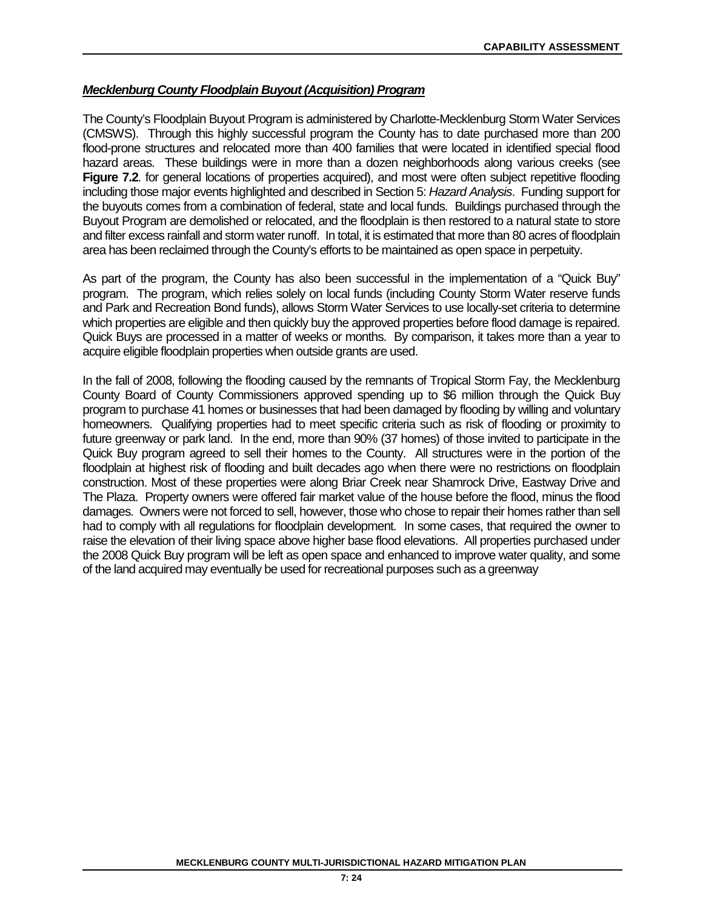## *Mecklenburg County Floodplain Buyout (Acquisition) Program*

The County's Floodplain Buyout Program is administered by Charlotte-Mecklenburg Storm Water Services (CMSWS). Through this highly successful program the County has to date purchased more than 200 flood-prone structures and relocated more than 400 families that were located in identified special flood hazard areas. These buildings were in more than a dozen neighborhoods along various creeks (see **Figure 7.2.** for general locations of properties acquired), and most were often subject repetitive flooding including those major events highlighted and described in Section 5: *Hazard Analysis*. Funding support for the buyouts comes from a combination of federal, state and local funds. Buildings purchased through the Buyout Program are demolished or relocated, and the floodplain is then restored to a natural state to store and filter excess rainfall and storm water runoff. In total, it is estimated that more than 80 acres of floodplain area has been reclaimed through the County's efforts to be maintained as open space in perpetuity.

As part of the program, the County has also been successful in the implementation of a "Quick Buy" program. The program, which relies solely on local funds (including County Storm Water reserve funds and Park and Recreation Bond funds), allows Storm Water Services to use locally-set criteria to determine which properties are eligible and then quickly buy the approved properties before flood damage is repaired. Quick Buys are processed in a matter of weeks or months. By comparison, it takes more than a year to acquire eligible floodplain properties when outside grants are used.

In the fall of 2008, following the flooding caused by the remnants of Tropical Storm Fay, the Mecklenburg County Board of County Commissioners approved spending up to \$6 million through the Quick Buy program to purchase 41 homes or businesses that had been damaged by flooding by willing and voluntary homeowners. Qualifying properties had to meet specific criteria such as risk of flooding or proximity to future greenway or park land. In the end, more than 90% (37 homes) of those invited to participate in the Quick Buy program agreed to sell their homes to the County. All structures were in the portion of the floodplain at highest risk of flooding and built decades ago when there were no restrictions on floodplain construction. Most of these properties were along Briar Creek near Shamrock Drive, Eastway Drive and The Plaza. Property owners were offered fair market value of the house before the flood, minus the flood damages. Owners were not forced to sell, however, those who chose to repair their homes rather than sell had to comply with all regulations for floodplain development. In some cases, that required the owner to raise the elevation of their living space above higher base flood elevations. All properties purchased under the 2008 Quick Buy program will be left as open space and enhanced to improve water quality, and some of the land acquired may eventually be used for recreational purposes such as a greenway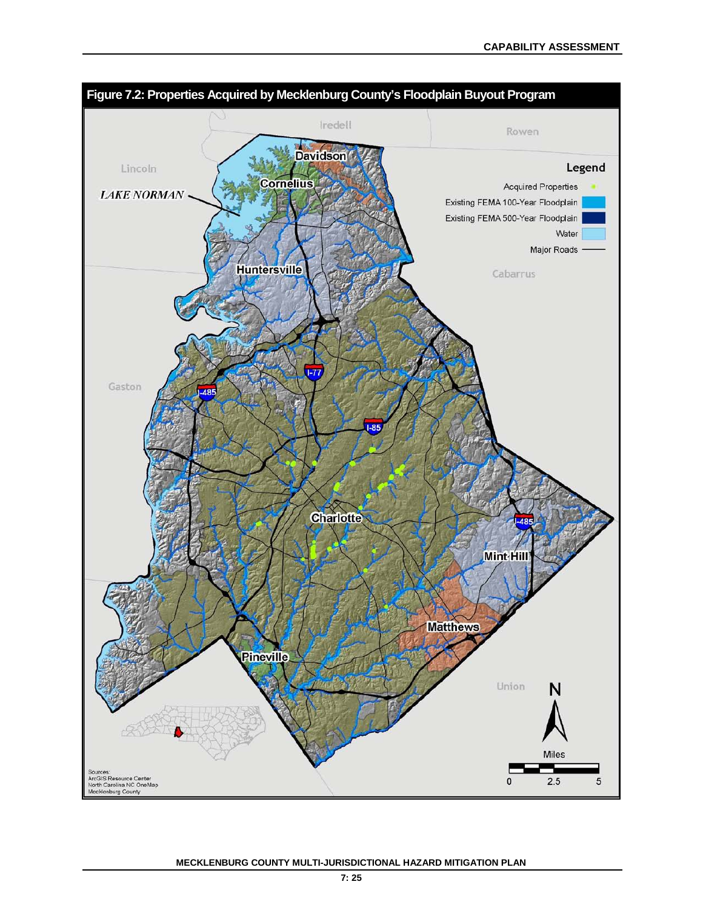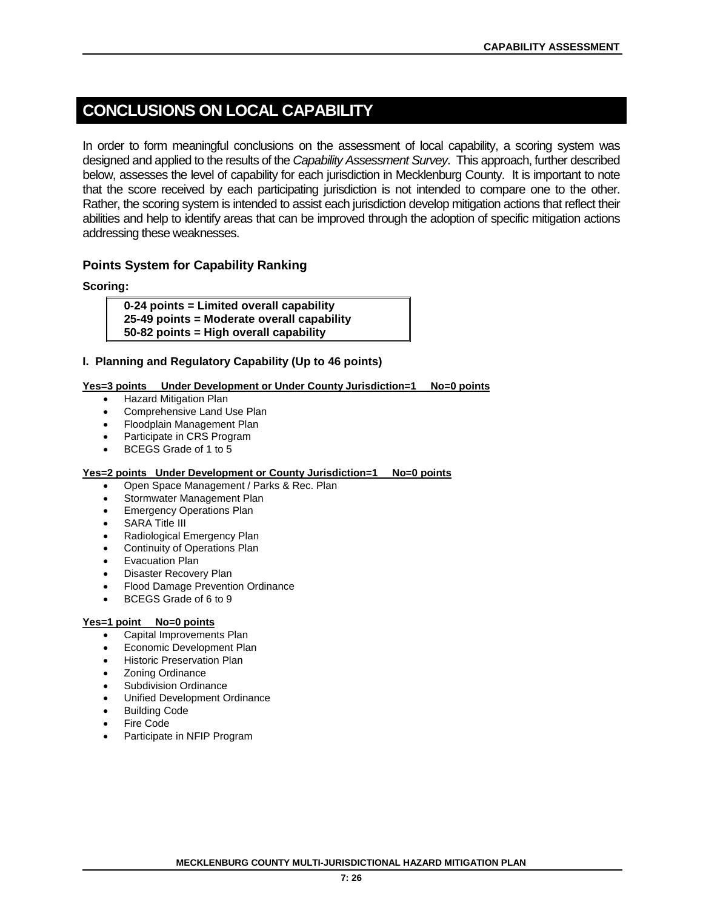# **CONCLUSIONS ON LOCAL CAPABILITY**

In order to form meaningful conclusions on the assessment of local capability, a scoring system was designed and applied to the results of the *Capability Assessment Survey*. This approach, further described below, assesses the level of capability for each jurisdiction in Mecklenburg County. It is important to note that the score received by each participating jurisdiction is not intended to compare one to the other. Rather, the scoring system is intended to assist each jurisdiction develop mitigation actions that reflect their abilities and help to identify areas that can be improved through the adoption of specific mitigation actions addressing these weaknesses.

# **Points System for Capability Ranking**

**Scoring:**

**0-24 points = Limited overall capability 25-49 points = Moderate overall capability 50-82 points = High overall capability**

#### **I. Planning and Regulatory Capability (Up to 46 points)**

#### **Yes=3 points Under Development or Under County Jurisdiction=1 No=0 points**

- Hazard Mitigation Plan
- Comprehensive Land Use Plan
- Floodplain Management Plan
- Participate in CRS Program
- BCEGS Grade of 1 to 5

#### **Yes=2 points Under Development or County Jurisdiction=1 No=0 points**

- Open Space Management / Parks & Rec. Plan
- Stormwater Management Plan
- Emergency Operations Plan
- **SARA Title III**
- Radiological Emergency Plan
- **Continuity of Operations Plan**
- Evacuation Plan
- Disaster Recovery Plan
- Flood Damage Prevention Ordinance
- BCEGS Grade of 6 to 9

#### **Yes=1 point No=0 points**

- Capital Improvements Plan
- Economic Development Plan
- Historic Preservation Plan
- **Zoning Ordinance**
- Subdivision Ordinance
- Unified Development Ordinance
- Building Code
- Fire Code
- Participate in NFIP Program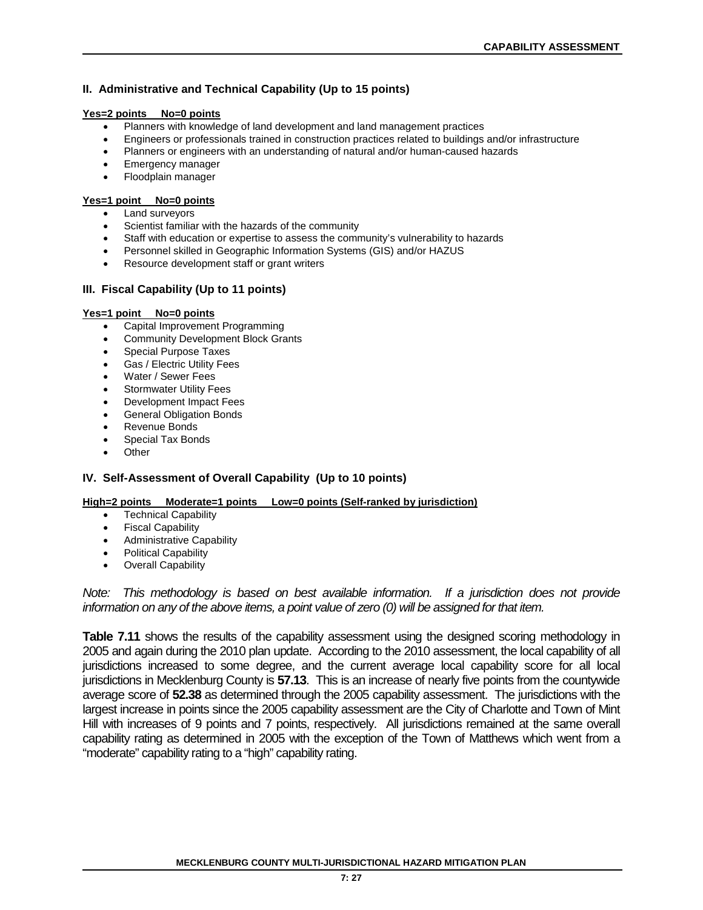#### **II. Administrative and Technical Capability (Up to 15 points)**

#### **Yes=2 points No=0 points**

- Planners with knowledge of land development and land management practices
- Engineers or professionals trained in construction practices related to buildings and/or infrastructure
- Planners or engineers with an understanding of natural and/or human-caused hazards
- Emergency manager
- Floodplain manager

#### **Yes=1 point No=0 points**

- Land surveyors
- Scientist familiar with the hazards of the community
- Staff with education or expertise to assess the community's vulnerability to hazards
- Personnel skilled in Geographic Information Systems (GIS) and/or HAZUS
- Resource development staff or grant writers

#### **III. Fiscal Capability (Up to 11 points)**

#### **Yes=1 point No=0 points**

- Capital Improvement Programming
- Community Development Block Grants
- Special Purpose Taxes
- Gas / Electric Utility Fees
- Water / Sewer Fees
- Stormwater Utility Fees
- Development Impact Fees
- General Obligation Bonds
- Revenue Bonds
- Special Tax Bonds
- Other

#### **IV. Self-Assessment of Overall Capability (Up to 10 points)**

#### **High=2 points Moderate=1 points Low=0 points (Self-ranked by jurisdiction)**

- **Technical Capability**
- Fiscal Capability
- Administrative Capability
- Political Capability
- Overall Capability

*Note: This methodology is based on best available information. If a jurisdiction does not provide information on any of the above items, a point value of zero (0) will be assigned for that item.* 

**Table 7.11** shows the results of the capability assessment using the designed scoring methodology in 2005 and again during the 2010 plan update. According to the 2010 assessment, the local capability of all jurisdictions increased to some degree, and the current average local capability score for all local jurisdictions in Mecklenburg County is **57.13**. This is an increase of nearly five points from the countywide average score of **52.38** as determined through the 2005 capability assessment. The jurisdictions with the largest increase in points since the 2005 capability assessment are the City of Charlotte and Town of Mint Hill with increases of 9 points and 7 points, respectively. All jurisdictions remained at the same overall capability rating as determined in 2005 with the exception of the Town of Matthews which went from a "moderate" capability rating to a "high" capability rating.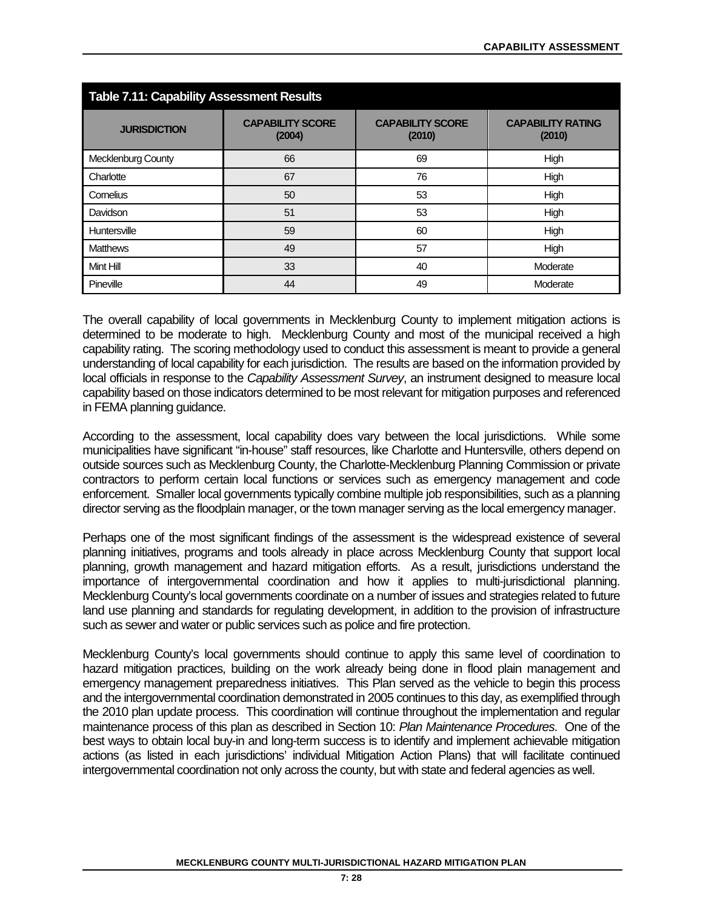| <b>Table 7.11: Capability Assessment Results</b> |                                   |                                   |                                    |  |  |  |  |
|--------------------------------------------------|-----------------------------------|-----------------------------------|------------------------------------|--|--|--|--|
| <b>JURISDICTION</b>                              | <b>CAPABILITY SCORE</b><br>(2004) | <b>CAPABILITY SCORE</b><br>(2010) | <b>CAPABILITY RATING</b><br>(2010) |  |  |  |  |
| Mecklenburg County                               | 66                                | 69                                | High                               |  |  |  |  |
| Charlotte                                        | 67                                | 76                                | High                               |  |  |  |  |
| Cornelius                                        | 50                                | 53                                | High                               |  |  |  |  |
| Davidson                                         | 51                                | 53                                | High                               |  |  |  |  |
| Huntersville                                     | 59                                | 60                                | High                               |  |  |  |  |
| <b>Matthews</b>                                  | 49                                | 57                                | High                               |  |  |  |  |
| Mint Hill                                        | 33                                | 40                                | Moderate                           |  |  |  |  |
| Pineville                                        | 44                                | 49                                | Moderate                           |  |  |  |  |

The overall capability of local governments in Mecklenburg County to implement mitigation actions is determined to be moderate to high. Mecklenburg County and most of the municipal received a high capability rating. The scoring methodology used to conduct this assessment is meant to provide a general understanding of local capability for each jurisdiction. The results are based on the information provided by local officials in response to the *Capability Assessment Survey*, an instrument designed to measure local capability based on those indicators determined to be most relevant for mitigation purposes and referenced in FEMA planning guidance.

According to the assessment, local capability does vary between the local jurisdictions. While some municipalities have significant "in-house" staff resources, like Charlotte and Huntersville, others depend on outside sources such as Mecklenburg County, the Charlotte-Mecklenburg Planning Commission or private contractors to perform certain local functions or services such as emergency management and code enforcement. Smaller local governments typically combine multiple job responsibilities, such as a planning director serving as the floodplain manager, or the town manager serving as the local emergency manager.

Perhaps one of the most significant findings of the assessment is the widespread existence of several planning initiatives, programs and tools already in place across Mecklenburg County that support local planning, growth management and hazard mitigation efforts. As a result, jurisdictions understand the importance of intergovernmental coordination and how it applies to multi-jurisdictional planning. Mecklenburg County's local governments coordinate on a number of issues and strategies related to future land use planning and standards for regulating development, in addition to the provision of infrastructure such as sewer and water or public services such as police and fire protection.

Mecklenburg County's local governments should continue to apply this same level of coordination to hazard mitigation practices, building on the work already being done in flood plain management and emergency management preparedness initiatives. This Plan served as the vehicle to begin this process and the intergovernmental coordination demonstrated in 2005 continues to this day, as exemplified through the 2010 plan update process. This coordination will continue throughout the implementation and regular maintenance process of this plan as described in Section 10: *Plan Maintenance Procedures*. One of the best ways to obtain local buy-in and long-term success is to identify and implement achievable mitigation actions (as listed in each jurisdictions' individual Mitigation Action Plans) that will facilitate continued intergovernmental coordination not only across the county, but with state and federal agencies as well.